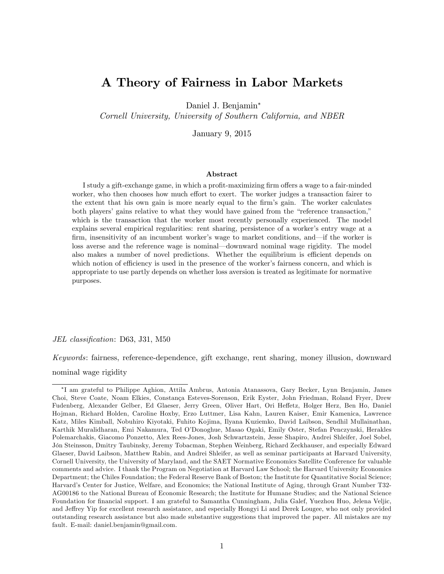## A Theory of Fairness in Labor Markets

Daniel J. Benjamin

Cornell University, University of Southern California, and NBER

January 9, 2015

#### Abstract

I study a gift-exchange game, in which a profit-maximizing firm offers a wage to a fair-minded worker, who then chooses how much effort to exert. The worker judges a transaction fairer to the extent that his own gain is more nearly equal to the firm's gain. The worker calculates both players' gains relative to what they would have gained from the "reference transaction," which is the transaction that the worker most recently personally experienced. The model explains several empirical regularities: rent sharing, persistence of a worker's entry wage at a firm, insensitivity of an incumbent worker's wage to market conditions, and—if the worker is loss averse and the reference wage is nominal—downward nominal wage rigidity. The model also makes a number of novel predictions. Whether the equilibrium is efficient depends on which notion of efficiency is used in the presence of the worker's fairness concern, and which is appropriate to use partly depends on whether loss aversion is treated as legitimate for normative purposes.

JEL classification: D63, J31, M50

Keywords: fairness, reference-dependence, gift exchange, rent sharing, money illusion, downward nominal wage rigidity

I am grateful to Philippe Aghion, Attila Ambrus, Antonia Atanassova, Gary Becker, Lynn Benjamin, James Choi, Steve Coate, Noam Elkies, Constança Esteves-Sorenson, Erik Eyster, John Friedman, Roland Fryer, Drew Fudenberg, Alexander Gelber, Ed Glaeser, Jerry Green, Oliver Hart, Ori Heffetz, Holger Herz, Ben Ho, Daniel Hojman, Richard Holden, Caroline Hoxby, Erzo Luttmer, Lisa Kahn, Lauren Kaiser, Emir Kamenica, Lawrence Katz, Miles Kimball, Nobuhiro Kiyotaki, Fuhito Kojima, Ilyana Kuziemko, David Laibson, Sendhil Mullainathan, Karthik Muralidharan, Emi Nakamura, Ted OíDonoghue, Masao Ogaki, Emily Oster, Stefan Penczynski, Herakles Polemarchakis, Giacomo Ponzetto, Alex Rees-Jones, Josh Schwartzstein, Jesse Shapiro, Andrei Shleifer, Joel Sobel, Jón Steinsson, Dmitry Taubinsky, Jeremy Tobacman, Stephen Weinberg, Richard Zeckhauser, and especially Edward Glaeser, David Laibson, Matthew Rabin, and Andrei Shleifer, as well as seminar participants at Harvard University, Cornell University, the University of Maryland, and the SAET Normative Economics Satellite Conference for valuable comments and advice. I thank the Program on Negotiation at Harvard Law School; the Harvard University Economics Department; the Chiles Foundation; the Federal Reserve Bank of Boston; the Institute for Quantitative Social Science; Harvard's Center for Justice, Welfare, and Economics; the National Institute of Aging, through Grant Number T32-AG00186 to the National Bureau of Economic Research; the Institute for Humane Studies; and the National Science Foundation for Önancial support. I am grateful to Samantha Cunningham, Julia Galef, Yuezhou Huo, Jelena Veljic, and Jeffrey Yip for excellent research assistance, and especially Hongyi Li and Derek Lougee, who not only provided outstanding research assistance but also made substantive suggestions that improved the paper. All mistakes are my fault. E-mail: daniel.benjamin@gmail.com.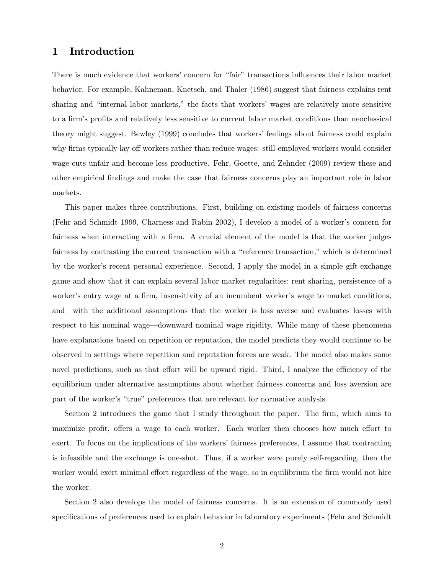## 1 Introduction

There is much evidence that workers' concern for "fair" transactions influences their labor market behavior. For example, Kahneman, Knetsch, and Thaler (1986) suggest that fairness explains rent sharing and "internal labor markets," the facts that workers' wages are relatively more sensitive to a firm's profits and relatively less sensitive to current labor market conditions than neoclassical theory might suggest. Bewley (1999) concludes that workers' feelings about fairness could explain why firms typically lay off workers rather than reduce wages: still-employed workers would consider wage cuts unfair and become less productive. Fehr, Goette, and Zehnder (2009) review these and other empirical Öndings and make the case that fairness concerns play an important role in labor markets.

This paper makes three contributions. First, building on existing models of fairness concerns (Fehr and Schmidt 1999, Charness and Rabin 2002), I develop a model of a worker's concern for fairness when interacting with a firm. A crucial element of the model is that the worker judges fairness by contrasting the current transaction with a "reference transaction," which is determined by the worker's recent personal experience. Second, I apply the model in a simple gift-exchange game and show that it can explain several labor market regularities: rent sharing, persistence of a worker's entry wage at a firm, insensitivity of an incumbent worker's wage to market conditions, and—with the additional assumptions that the worker is loss averse and evaluates losses with respect to his nominal wage—downward nominal wage rigidity. While many of these phenomena have explanations based on repetition or reputation, the model predicts they would continue to be observed in settings where repetition and reputation forces are weak. The model also makes some novel predictions, such as that effort will be upward rigid. Third, I analyze the efficiency of the equilibrium under alternative assumptions about whether fairness concerns and loss aversion are part of the worker's "true" preferences that are relevant for normative analysis.

Section 2 introduces the game that I study throughout the paper. The firm, which aims to maximize profit, offers a wage to each worker. Each worker then chooses how much effort to exert. To focus on the implications of the workers' fairness preferences, I assume that contracting is infeasible and the exchange is one-shot. Thus, if a worker were purely self-regarding, then the worker would exert minimal effort regardless of the wage, so in equilibrium the firm would not hire the worker.

Section 2 also develops the model of fairness concerns. It is an extension of commonly used specifications of preferences used to explain behavior in laboratory experiments (Fehr and Schmidt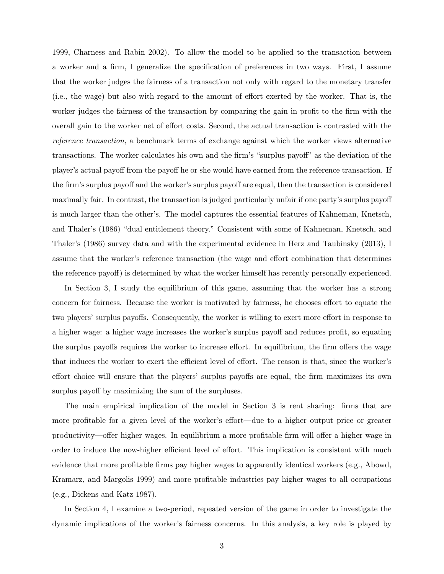1999, Charness and Rabin 2002). To allow the model to be applied to the transaction between a worker and a firm, I generalize the specification of preferences in two ways. First, I assume that the worker judges the fairness of a transaction not only with regard to the monetary transfer (i.e., the wage) but also with regard to the amount of effort exerted by the worker. That is, the worker judges the fairness of the transaction by comparing the gain in profit to the firm with the overall gain to the worker net of effort costs. Second, the actual transaction is contrasted with the reference transaction, a benchmark terms of exchange against which the worker views alternative transactions. The worker calculates his own and the firm's "surplus payoff" as the deviation of the player's actual payoff from the payoff he or she would have earned from the reference transaction. If the firm's surplus payoff and the worker's surplus payoff are equal, then the transaction is considered maximally fair. In contrast, the transaction is judged particularly unfair if one party's surplus payoff is much larger than the other's. The model captures the essential features of Kahneman, Knetsch, and Thaler's (1986) "dual entitlement theory." Consistent with some of Kahneman, Knetsch, and Thaler's (1986) survey data and with the experimental evidence in Herz and Taubinsky (2013), I assume that the worker's reference transaction (the wage and effort combination that determines the reference payoff) is determined by what the worker himself has recently personally experienced.

In Section 3, I study the equilibrium of this game, assuming that the worker has a strong concern for fairness. Because the worker is motivated by fairness, he chooses effort to equate the two players' surplus payoffs. Consequently, the worker is willing to exert more effort in response to a higher wage: a higher wage increases the worker's surplus payoff and reduces profit, so equating the surplus payoffs requires the worker to increase effort. In equilibrium, the firm offers the wage that induces the worker to exert the efficient level of effort. The reason is that, since the worker's effort choice will ensure that the players' surplus payoffs are equal, the firm maximizes its own surplus payoff by maximizing the sum of the surpluses.

The main empirical implication of the model in Section 3 is rent sharing: firms that are more profitable for a given level of the worker's effort—due to a higher output price or greater productivity—offer higher wages. In equilibrium a more profitable firm will offer a higher wage in order to induce the now-higher efficient level of effort. This implication is consistent with much evidence that more profitable firms pay higher wages to apparently identical workers (e.g., Abowd, Kramarz, and Margolis 1999) and more profitable industries pay higher wages to all occupations (e.g., Dickens and Katz 1987).

In Section 4, I examine a two-period, repeated version of the game in order to investigate the dynamic implications of the worker's fairness concerns. In this analysis, a key role is played by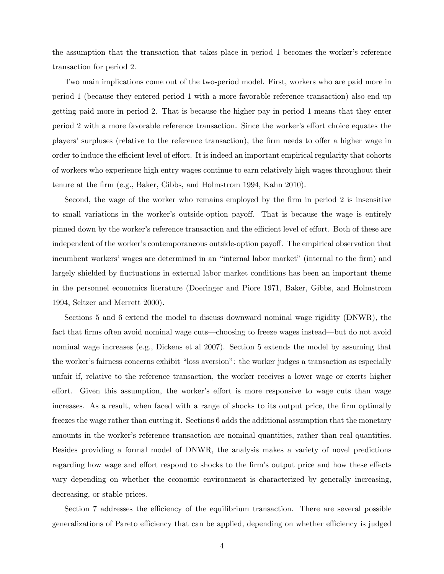the assumption that the transaction that takes place in period 1 becomes the worker's reference transaction for period 2.

Two main implications come out of the two-period model. First, workers who are paid more in period 1 (because they entered period 1 with a more favorable reference transaction) also end up getting paid more in period 2. That is because the higher pay in period 1 means that they enter period 2 with a more favorable reference transaction. Since the worker's effort choice equates the players' surpluses (relative to the reference transaction), the firm needs to offer a higher wage in order to induce the efficient level of effort. It is indeed an important empirical regularity that cohorts of workers who experience high entry wages continue to earn relatively high wages throughout their tenure at the Örm (e.g., Baker, Gibbs, and Holmstrom 1994, Kahn 2010).

Second, the wage of the worker who remains employed by the firm in period 2 is insensitive to small variations in the worker's outside-option payoff. That is because the wage is entirely pinned down by the worker's reference transaction and the efficient level of effort. Both of these are independent of the worker's contemporaneous outside-option payoff. The empirical observation that incumbent workers' wages are determined in an "internal labor market" (internal to the firm) and largely shielded by fluctuations in external labor market conditions has been an important theme in the personnel economics literature (Doeringer and Piore 1971, Baker, Gibbs, and Holmstrom 1994, Seltzer and Merrett 2000).

Sections 5 and 6 extend the model to discuss downward nominal wage rigidity (DNWR), the fact that firms often avoid nominal wage cuts—choosing to freeze wages instead—but do not avoid nominal wage increases (e.g., Dickens et al 2007). Section 5 extends the model by assuming that the worker's fairness concerns exhibit "loss aversion": the worker judges a transaction as especially unfair if, relative to the reference transaction, the worker receives a lower wage or exerts higher effort. Given this assumption, the worker's effort is more responsive to wage cuts than wage increases. As a result, when faced with a range of shocks to its output price, the firm optimally freezes the wage rather than cutting it. Sections 6 adds the additional assumption that the monetary amounts in the worker's reference transaction are nominal quantities, rather than real quantities. Besides providing a formal model of DNWR, the analysis makes a variety of novel predictions regarding how wage and effort respond to shocks to the firm's output price and how these effects vary depending on whether the economic environment is characterized by generally increasing, decreasing, or stable prices.

Section 7 addresses the efficiency of the equilibrium transaction. There are several possible generalizations of Pareto efficiency that can be applied, depending on whether efficiency is judged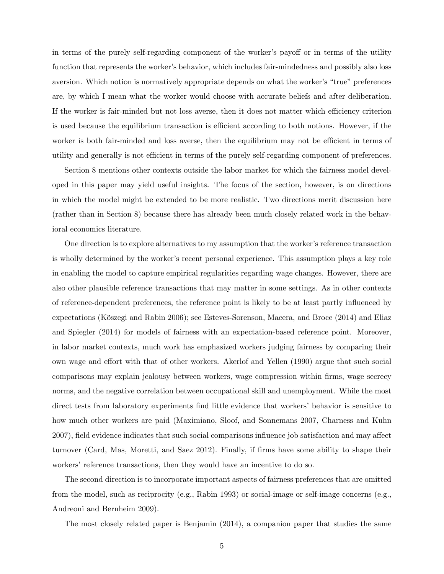in terms of the purely self-regarding component of the worker's payoff or in terms of the utility function that represents the worker's behavior, which includes fair-mindedness and possibly also loss aversion. Which notion is normatively appropriate depends on what the worker's "true" preferences are, by which I mean what the worker would choose with accurate beliefs and after deliberation. If the worker is fair-minded but not loss averse, then it does not matter which efficiency criterion is used because the equilibrium transaction is efficient according to both notions. However, if the worker is both fair-minded and loss averse, then the equilibrium may not be efficient in terms of utility and generally is not efficient in terms of the purely self-regarding component of preferences.

Section 8 mentions other contexts outside the labor market for which the fairness model developed in this paper may yield useful insights. The focus of the section, however, is on directions in which the model might be extended to be more realistic. Two directions merit discussion here (rather than in Section 8) because there has already been much closely related work in the behavioral economics literature.

One direction is to explore alternatives to my assumption that the worker's reference transaction is wholly determined by the worker's recent personal experience. This assumption plays a key role in enabling the model to capture empirical regularities regarding wage changes. However, there are also other plausible reference transactions that may matter in some settings. As in other contexts of reference-dependent preferences, the reference point is likely to be at least partly ináuenced by expectations (Köszegi and Rabin 2006); see Esteves-Sorenson, Macera, and Broce (2014) and Eliaz and Spiegler (2014) for models of fairness with an expectation-based reference point. Moreover, in labor market contexts, much work has emphasized workers judging fairness by comparing their own wage and effort with that of other workers. Akerlof and Yellen (1990) argue that such social comparisons may explain jealousy between workers, wage compression within Örms, wage secrecy norms, and the negative correlation between occupational skill and unemployment. While the most direct tests from laboratory experiments find little evidence that workers' behavior is sensitive to how much other workers are paid (Maximiano, Sloof, and Sonnemans 2007, Charness and Kuhn 2007), field evidence indicates that such social comparisons influence job satisfaction and may affect turnover (Card, Mas, Moretti, and Saez 2012). Finally, if firms have some ability to shape their workers' reference transactions, then they would have an incentive to do so.

The second direction is to incorporate important aspects of fairness preferences that are omitted from the model, such as reciprocity (e.g., Rabin 1993) or social-image or self-image concerns (e.g., Andreoni and Bernheim 2009).

The most closely related paper is Benjamin (2014), a companion paper that studies the same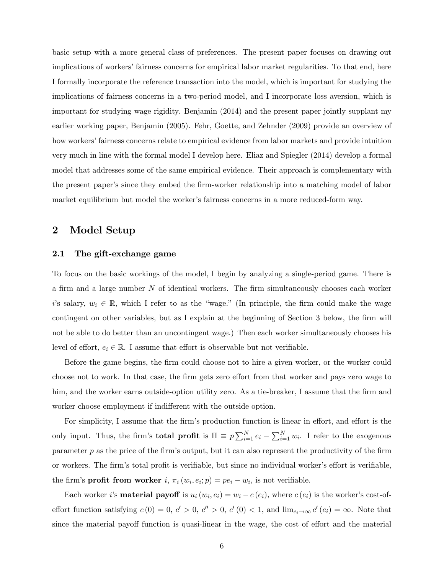basic setup with a more general class of preferences. The present paper focuses on drawing out implications of workers' fairness concerns for empirical labor market regularities. To that end, here I formally incorporate the reference transaction into the model, which is important for studying the implications of fairness concerns in a two-period model, and I incorporate loss aversion, which is important for studying wage rigidity. Benjamin (2014) and the present paper jointly supplant my earlier working paper, Benjamin (2005). Fehr, Goette, and Zehnder (2009) provide an overview of how workers' fairness concerns relate to empirical evidence from labor markets and provide intuition very much in line with the formal model I develop here. Eliaz and Spiegler (2014) develop a formal model that addresses some of the same empirical evidence. Their approach is complementary with the present paper's since they embed the firm-worker relationship into a matching model of labor market equilibrium but model the worker's fairness concerns in a more reduced-form way.

## 2 Model Setup

#### 2.1 The gift-exchange game

To focus on the basic workings of the model, I begin by analyzing a single-period game. There is a firm and a large number  $N$  of identical workers. The firm simultaneously chooses each worker i's salary,  $w_i \in \mathbb{R}$ , which I refer to as the "wage." (In principle, the firm could make the wage contingent on other variables, but as I explain at the beginning of Section 3 below, the firm will not be able to do better than an uncontingent wage.) Then each worker simultaneously chooses his level of effort,  $e_i \in \mathbb{R}$ . I assume that effort is observable but not verifiable.

Before the game begins, the firm could choose not to hire a given worker, or the worker could choose not to work. In that case, the firm gets zero effort from that worker and pays zero wage to him, and the worker earns outside-option utility zero. As a tie-breaker, I assume that the firm and worker choose employment if indifferent with the outside option.

For simplicity, I assume that the firm's production function is linear in effort, and effort is the only input. Thus, the firm's **total profit** is  $\Pi \equiv p \sum_{i=1}^{N} e_i - \sum_{i=1}^{N} w_i$ . I refer to the exogenous parameter  $p$  as the price of the firm's output, but it can also represent the productivity of the firm or workers. The firm's total profit is verifiable, but since no individual worker's effort is verifiable, the firm's **profit from worker**  $i, \pi_i(w_i, e_i; p) = pe_i - w_i$ , is not verifiable.

Each worker *i*'s **material payoff** is  $u_i(w_i, e_i) = w_i - c(e_i)$ , where  $c(e_i)$  is the worker's cost-ofeffort function satisfying  $c(0) = 0, c' > 0, c'' > 0, c'(0) < 1$ , and  $\lim_{e_i \to \infty} c'(e_i) = \infty$ . Note that since the material payoff function is quasi-linear in the wage, the cost of effort and the material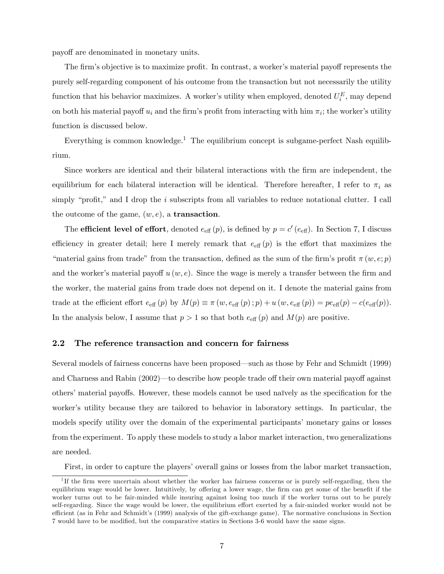payoff are denominated in monetary units.

The firm's objective is to maximize profit. In contrast, a worker's material payoff represents the purely self-regarding component of his outcome from the transaction but not necessarily the utility function that his behavior maximizes. A worker's utility when employed, denoted  $U_i^E$ , may depend on both his material payoff  $u_i$  and the firm's profit from interacting with him  $\pi_i$ ; the worker's utility function is discussed below.

Everything is common knowledge.<sup>1</sup> The equilibrium concept is subgame-perfect Nash equilibrium.

Since workers are identical and their bilateral interactions with the firm are independent, the equilibrium for each bilateral interaction will be identical. Therefore hereafter, I refer to  $\pi_i$  as simply "profit," and I drop the  $i$  subscripts from all variables to reduce notational clutter. I call the outcome of the game,  $(w, e)$ , a **transaction**.

The **efficient level of effort**, denoted  $e_{\text{eff}}(p)$ , is defined by  $p = c'(e_{\text{eff}})$ . In Section 7, I discuss efficiency in greater detail; here I merely remark that  $e_{\text{eff}}(p)$  is the effort that maximizes the "material gains from trade" from the transaction, defined as the sum of the firm's profit  $\pi(w, e; p)$ and the worker's material payoff  $u(w, e)$ . Since the wage is merely a transfer between the firm and the worker, the material gains from trade does not depend on it. I denote the material gains from trade at the efficient effort  $e_{\text{eff}}(p)$  by  $M(p) \equiv \pi(w, e_{\text{eff}}(p); p) + u(w, e_{\text{eff}}(p)) = pe_{\text{eff}}(p) - c(e_{\text{eff}}(p)).$ In the analysis below, I assume that  $p > 1$  so that both  $e_{\text{eff}}(p)$  and  $M(p)$  are positive.

#### 2.2 The reference transaction and concern for fairness

Several models of fairness concerns have been proposed—such as those by Fehr and Schmidt (1999) and Charness and Rabin  $(2002)$ —to describe how people trade off their own material payoff against others' material payoffs. However, these models cannot be used naïvely as the specification for the worker's utility because they are tailored to behavior in laboratory settings. In particular, the models specify utility over the domain of the experimental participants' monetary gains or losses from the experiment. To apply these models to study a labor market interaction, two generalizations are needed.

First, in order to capture the players' overall gains or losses from the labor market transaction,

<sup>&</sup>lt;sup>1</sup>If the firm were uncertain about whether the worker has fairness concerns or is purely self-regarding, then the equilibrium wage would be lower. Intuitively, by offering a lower wage, the firm can get some of the benefit if the worker turns out to be fair-minded while insuring against losing too much if the worker turns out to be purely self-regarding. Since the wage would be lower, the equilibrium effort exerted by a fair-minded worker would not be efficient (as in Fehr and Schmidt's (1999) analysis of the gift-exchange game). The normative conclusions in Section 7 would have to be modified, but the comparative statics in Sections 3-6 would have the same signs.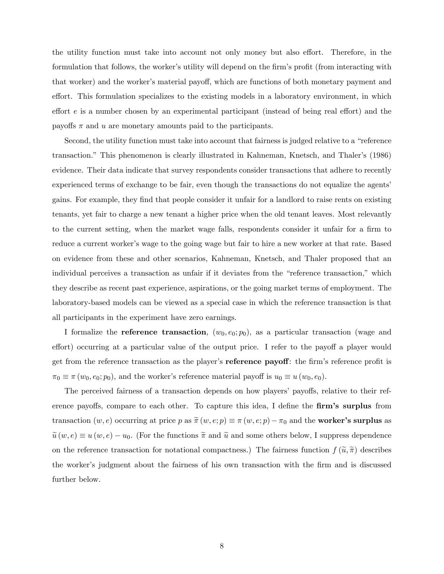the utility function must take into account not only money but also effort. Therefore, in the formulation that follows, the worker's utility will depend on the firm's profit (from interacting with that worker) and the worker's material payoff, which are functions of both monetary payment and effort. This formulation specializes to the existing models in a laboratory environment, in which effort  $e$  is a number chosen by an experimental participant (instead of being real effort) and the payoffs  $\pi$  and  $u$  are monetary amounts paid to the participants.

Second, the utility function must take into account that fairness is judged relative to a "reference" transaction." This phenomenon is clearly illustrated in Kahneman, Knetsch, and Thaler's (1986) evidence. Their data indicate that survey respondents consider transactions that adhere to recently experienced terms of exchange to be fair, even though the transactions do not equalize the agentsí gains. For example, they Önd that people consider it unfair for a landlord to raise rents on existing tenants, yet fair to charge a new tenant a higher price when the old tenant leaves. Most relevantly to the current setting, when the market wage falls, respondents consider it unfair for a firm to reduce a current worker's wage to the going wage but fair to hire a new worker at that rate. Based on evidence from these and other scenarios, Kahneman, Knetsch, and Thaler proposed that an individual perceives a transaction as unfair if it deviates from the "reference transaction," which they describe as recent past experience, aspirations, or the going market terms of employment. The laboratory-based models can be viewed as a special case in which the reference transaction is that all participants in the experiment have zero earnings.

I formalize the **reference transaction**,  $(w_0, e_0; p_0)$ , as a particular transaction (wage and effort) occurring at a particular value of the output price. I refer to the payoff a player would get from the reference transaction as the player's **reference payoff**: the firm's reference profit is  $\pi_0 \equiv \pi(w_0, e_0; p_0)$ , and the worker's reference material payoff is  $u_0 \equiv u(w_0, e_0)$ .

The perceived fairness of a transaction depends on how players' payoffs, relative to their reference payoffs, compare to each other. To capture this idea, I define the firm's surplus from transaction  $(w, e)$  occurring at price p as  $\tilde{\pi}(w, e; p) \equiv \pi(w, e; p) - \pi_0$  and the **worker's surplus** as  $\tilde{u}(w, e) \equiv u(w, e) - u_0$ . (For the functions  $\tilde{\pi}$  and  $\tilde{u}$  and some others below, I suppress dependence on the reference transaction for notational compactness.) The fairness function  $f(\tilde{u}, \tilde{\pi})$  describes the worker's judgment about the fairness of his own transaction with the firm and is discussed further below.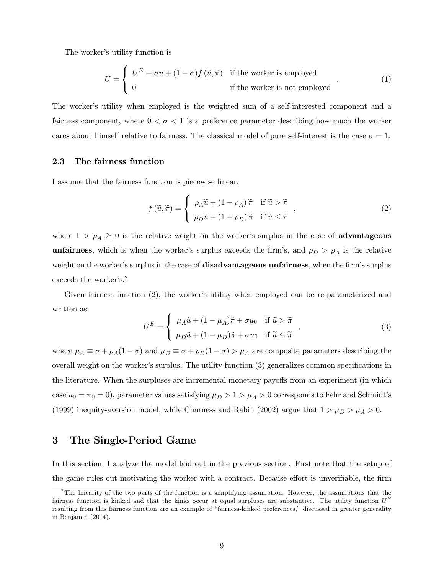The worker's utility function is

$$
U = \begin{cases} U^{E} \equiv \sigma u + (1 - \sigma)f(\tilde{u}, \tilde{\pi}) & \text{if the worker is employed} \\ 0 & \text{if the worker is not employed} \end{cases}
$$
 (1)

The worker's utility when employed is the weighted sum of a self-interested component and a fairness component, where  $0 < \sigma < 1$  is a preference parameter describing how much the worker cares about himself relative to fairness. The classical model of pure self-interest is the case  $\sigma = 1$ .

### 2.3 The fairness function

I assume that the fairness function is piecewise linear:

$$
f(\tilde{u}, \tilde{\pi}) = \begin{cases} \rho_A \tilde{u} + (1 - \rho_A) \tilde{\pi} & \text{if } \tilde{u} > \tilde{\pi} \\ \rho_D \tilde{u} + (1 - \rho_D) \tilde{\pi} & \text{if } \tilde{u} \leq \tilde{\pi} \end{cases},
$$
\n(2)

where  $1 > \rho_A \geq 0$  is the relative weight on the worker's surplus in the case of **advantageous unfairness**, which is when the worker's surplus exceeds the firm's, and  $\rho_D > \rho_A$  is the relative weight on the worker's surplus in the case of **disadvantageous unfairness**, when the firm's surplus exceeds the worker's.<sup>2</sup>

Given fairness function (2), the worker's utility when employed can be re-parameterized and written as:

$$
U^{E} = \begin{cases} \mu_{A}\tilde{u} + (1 - \mu_{A})\tilde{\pi} + \sigma u_{0} & \text{if } \tilde{u} > \tilde{\pi} \\ \mu_{D}\tilde{u} + (1 - \mu_{D})\tilde{\pi} + \sigma u_{0} & \text{if } \tilde{u} \leq \tilde{\pi} \end{cases},
$$
\n(3)

where  $\mu_A \equiv \sigma + \rho_A(1 - \sigma)$  and  $\mu_D \equiv \sigma + \rho_D(1 - \sigma) > \mu_A$  are composite parameters describing the overall weight on the worker's surplus. The utility function  $(3)$  generalizes common specifications in the literature. When the surpluses are incremental monetary payoffs from an experiment (in which case  $u_0 = \pi_0 = 0$ , parameter values satisfying  $\mu_D > 1 > \mu_A > 0$  corresponds to Fehr and Schmidt's (1999) inequity-aversion model, while Charness and Rabin (2002) argue that  $1 > \mu_D > \mu_A > 0$ .

## 3 The Single-Period Game

In this section, I analyze the model laid out in the previous section. First note that the setup of the game rules out motivating the worker with a contract. Because effort is unverifiable, the firm

<sup>&</sup>lt;sup>2</sup>The linearity of the two parts of the function is a simplifying assumption. However, the assumptions that the fairness function is kinked and that the kinks occur at equal surpluses are substantive. The utility function  $U^E$ resulting from this fairness function are an example of "fairness-kinked preferences," discussed in greater generality in Benjamin (2014).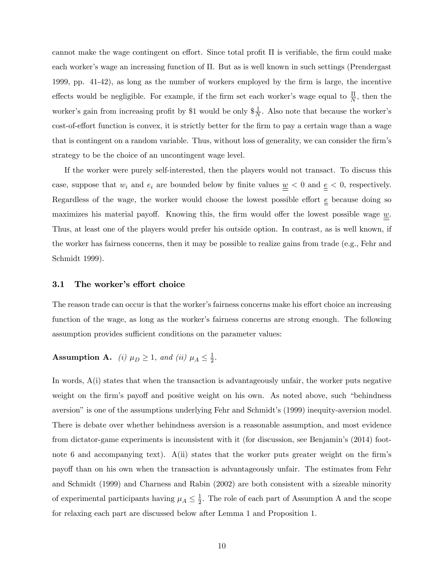cannot make the wage contingent on effort. Since total profit  $\Pi$  is verifiable, the firm could make each worker's wage an increasing function of  $\Pi$ . But as is well known in such settings (Prendergast 1999, pp. 41-42), as long as the number of workers employed by the firm is large, the incentive effects would be negligible. For example, if the firm set each worker's wage equal to  $\frac{\Pi}{N}$ , then the worker's gain from increasing profit by \$1 would be only  $\frac{1}{N}$ . Also note that because the worker's cost-of-effort function is convex, it is strictly better for the firm to pay a certain wage than a wage that is contingent on a random variable. Thus, without loss of generality, we can consider the firm's strategy to be the choice of an uncontingent wage level.

If the worker were purely self-interested, then the players would not transact. To discuss this case, suppose that  $w_i$  and  $e_i$  are bounded below by finite values  $\underline{w} < 0$  and  $\underline{e} < 0$ , respectively. Regardless of the wage, the worker would choose the lowest possible effort  $\frac{e}{c}$  because doing so maximizes his material payoff. Knowing this, the firm would offer the lowest possible wage  $\underline{w}$ . Thus, at least one of the players would prefer his outside option. In contrast, as is well known, if the worker has fairness concerns, then it may be possible to realize gains from trade (e.g., Fehr and Schmidt 1999).

#### 3.1 The worker's effort choice

The reason trade can occur is that the worker's fairness concerns make his effort choice an increasing function of the wage, as long as the worker's fairness concerns are strong enough. The following assumption provides sufficient conditions on the parameter values:

#### **Assumption A.** (i)  $\mu_D \ge 1$ , and (ii)  $\mu_A \le \frac{1}{2}$  $\frac{1}{2}$ .

In words, A(i) states that when the transaction is advantageously unfair, the worker puts negative weight on the firm's payoff and positive weight on his own. As noted above, such "behindness" aversion" is one of the assumptions underlying Fehr and Schmidt's (1999) inequity-aversion model. There is debate over whether behindness aversion is a reasonable assumption, and most evidence from dictator-game experiments is inconsistent with it (for discussion, see Benjamin's (2014) footnote 6 and accompanying text). A(ii) states that the worker puts greater weight on the firm's payoff than on his own when the transaction is advantageously unfair. The estimates from Fehr and Schmidt (1999) and Charness and Rabin (2002) are both consistent with a sizeable minority of experimental participants having  $\mu_A \leq \frac{1}{2}$  $\frac{1}{2}$ . The role of each part of Assumption A and the scope for relaxing each part are discussed below after Lemma 1 and Proposition 1.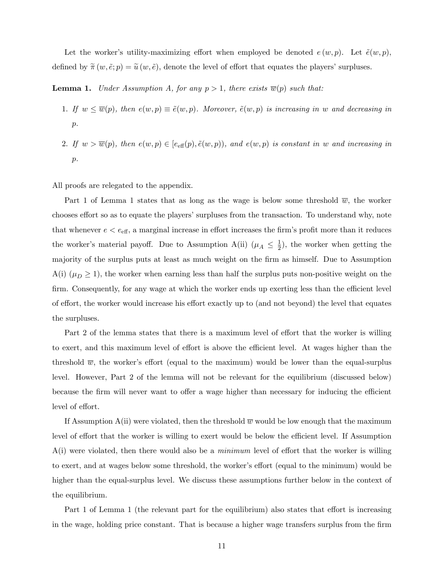Let the worker's utility-maximizing effort when employed be denoted  $e(w, p)$ . Let  $\tilde{e}(w, p)$ , defined by  $\tilde{\pi}(w, \tilde{e}; p) = \tilde{u}(w, \tilde{e})$ , denote the level of effort that equates the players' surpluses.

**Lemma 1.** Under Assumption A, for any  $p > 1$ , there exists  $\overline{w}(p)$  such that:

- 1. If  $w \leq \overline{w}(p)$ , then  $e(w, p) \equiv \tilde{e}(w, p)$ . Moreover,  $\tilde{e}(w, p)$  is increasing in w and decreasing in p.
- 2. If  $w > \overline{w}(p)$ , then  $e(w, p) \in [e_{\text{eff}}(p), \tilde{e}(w, p))$ , and  $e(w, p)$  is constant in w and increasing in p.

All proofs are relegated to the appendix.

Part 1 of Lemma 1 states that as long as the wage is below some threshold  $\overline{w}$ , the worker chooses effort so as to equate the players' surpluses from the transaction. To understand why, note that whenever  $e < e_{\text{eff}}$ , a marginal increase in effort increases the firm's profit more than it reduces the worker's material payoff. Due to Assumption A(ii) ( $\mu_A \leq \frac{1}{2}$  $(\frac{1}{2})$ , the worker when getting the majority of the surplus puts at least as much weight on the firm as himself. Due to Assumption  $A(i)$  ( $\mu_D \geq 1$ ), the worker when earning less than half the surplus puts non-positive weight on the firm. Consequently, for any wage at which the worker ends up exerting less than the efficient level of effort, the worker would increase his effort exactly up to (and not beyond) the level that equates the surpluses.

Part 2 of the lemma states that there is a maximum level of effort that the worker is willing to exert, and this maximum level of effort is above the efficient level. At wages higher than the threshold  $\overline{w}$ , the worker's effort (equal to the maximum) would be lower than the equal-surplus level. However, Part 2 of the lemma will not be relevant for the equilibrium (discussed below) because the firm will never want to offer a wage higher than necessary for inducing the efficient level of effort.

If Assumption A(ii) were violated, then the threshold  $\overline{w}$  would be low enough that the maximum level of effort that the worker is willing to exert would be below the efficient level. If Assumption  $A(i)$  were violated, then there would also be a *minimum* level of effort that the worker is willing to exert, and at wages below some threshold, the worker's effort (equal to the minimum) would be higher than the equal-surplus level. We discuss these assumptions further below in the context of the equilibrium.

Part 1 of Lemma 1 (the relevant part for the equilibrium) also states that effort is increasing in the wage, holding price constant. That is because a higher wage transfers surplus from the firm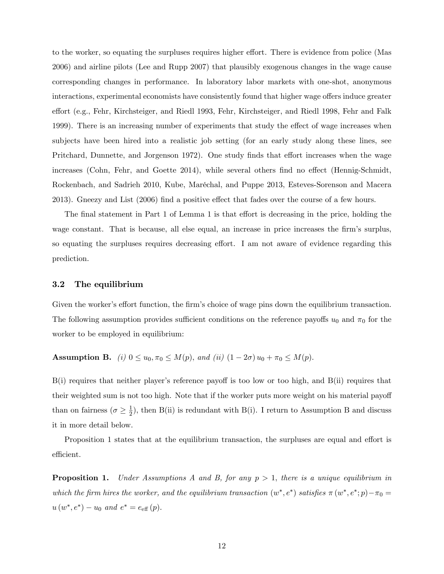to the worker, so equating the surpluses requires higher effort. There is evidence from police (Mas 2006) and airline pilots (Lee and Rupp 2007) that plausibly exogenous changes in the wage cause corresponding changes in performance. In laboratory labor markets with one-shot, anonymous interactions, experimental economists have consistently found that higher wage offers induce greater effort (e.g., Fehr, Kirchsteiger, and Riedl 1993, Fehr, Kirchsteiger, and Riedl 1998, Fehr and Falk 1999). There is an increasing number of experiments that study the effect of wage increases when subjects have been hired into a realistic job setting (for an early study along these lines, see Pritchard, Dunnette, and Jorgenson 1972). One study finds that effort increases when the wage increases (Cohn, Fehr, and Goette 2014), while several others find no effect (Hennig-Schmidt, Rockenbach, and Sadrieh 2010, Kube, Maréchal, and Puppe 2013, Esteves-Sorenson and Macera 2013). Gneezy and List (2006) find a positive effect that fades over the course of a few hours.

The final statement in Part 1 of Lemma 1 is that effort is decreasing in the price, holding the wage constant. That is because, all else equal, an increase in price increases the firm's surplus, so equating the surpluses requires decreasing effort. I am not aware of evidence regarding this prediction.

#### 3.2 The equilibrium

Given the worker's effort function, the firm's choice of wage pins down the equilibrium transaction. The following assumption provides sufficient conditions on the reference payoffs  $u_0$  and  $\pi_0$  for the worker to be employed in equilibrium:

**Assumption B.** (i)  $0 \le u_0, \pi_0 \le M(p)$ , and (ii)  $(1 - 2\sigma) u_0 + \pi_0 \le M(p)$ .

 $B(i)$  requires that neither player's reference payoff is too low or too high, and  $B(ii)$  requires that their weighted sum is not too high. Note that if the worker puts more weight on his material payoff than on fairness ( $\sigma \geq \frac{1}{2}$ )  $\frac{1}{2}$ , then B(ii) is redundant with B(i). I return to Assumption B and discuss it in more detail below.

Proposition 1 states that at the equilibrium transaction, the surpluses are equal and effort is efficient.

**Proposition 1.** Under Assumptions A and B, for any  $p > 1$ , there is a unique equilibrium in which the firm hires the worker, and the equilibrium transaction  $(w^*, e^*)$  satisfies  $\pi(w^*, e^*; p) - \pi_0 =$  $u(w^*, e^*) - u_0$  and  $e^* = e_{\text{eff}}(p)$ .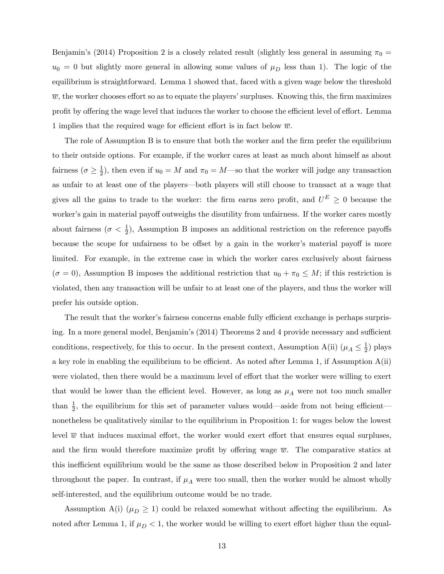Benjamin's (2014) Proposition 2 is a closely related result (slightly less general in assuming  $\pi_0 =$  $u_0 = 0$  but slightly more general in allowing some values of  $\mu_D$  less than 1). The logic of the equilibrium is straightforward. Lemma 1 showed that, faced with a given wage below the threshold  $\overline{w}$ , the worker chooses effort so as to equate the players' surpluses. Knowing this, the firm maximizes profit by offering the wage level that induces the worker to choose the efficient level of effort. Lemma 1 implies that the required wage for efficient effort is in fact below  $\overline{w}$ .

The role of Assumption B is to ensure that both the worker and the firm prefer the equilibrium to their outside options. For example, if the worker cares at least as much about himself as about fairness ( $\sigma \geq \frac{1}{2}$  $\frac{1}{2}$ , then even if  $u_0 = M$  and  $\pi_0 = M$ —so that the worker will judge any transaction as unfair to at least one of the players—both players will still choose to transact at a wage that gives all the gains to trade to the worker: the firm earns zero profit, and  $U^E \geq 0$  because the worker's gain in material payoff outweighs the disutility from unfairness. If the worker cares mostly about fairness ( $\sigma < \frac{1}{2}$ ), Assumption B imposes an additional restriction on the reference payoffs because the scope for unfairness to be offset by a gain in the worker's material payoff is more limited. For example, in the extreme case in which the worker cares exclusively about fairness  $(\sigma = 0)$ , Assumption B imposes the additional restriction that  $u_0 + \pi_0 \leq M$ ; if this restriction is violated, then any transaction will be unfair to at least one of the players, and thus the worker will prefer his outside option.

The result that the worker's fairness concerns enable fully efficient exchange is perhaps surprising. In a more general model, Benjamin's (2014) Theorems 2 and 4 provide necessary and sufficient conditions, respectively, for this to occur. In the present context, Assumption A(ii)  $(\mu_A \leq \frac{1}{2})$  $(\frac{1}{2})$  plays a key role in enabling the equilibrium to be efficient. As noted after Lemma 1, if Assumption  $A(ii)$ were violated, then there would be a maximum level of effort that the worker were willing to exert that would be lower than the efficient level. However, as long as  $\mu_A$  were not too much smaller than  $\frac{1}{2}$ , the equilibrium for this set of parameter values would—aside from not being efficient nonetheless be qualitatively similar to the equilibrium in Proposition 1: for wages below the lowest level  $\overline{w}$  that induces maximal effort, the worker would exert effort that ensures equal surpluses, and the firm would therefore maximize profit by offering wage  $\overline{w}$ . The comparative statics at this inefficient equilibrium would be the same as those described below in Proposition 2 and later throughout the paper. In contrast, if  $\mu_A$  were too small, then the worker would be almost wholly self-interested, and the equilibrium outcome would be no trade.

Assumption A(i) ( $\mu_D \geq 1$ ) could be relaxed somewhat without affecting the equilibrium. As noted after Lemma 1, if  $\mu_D < 1$ , the worker would be willing to exert effort higher than the equal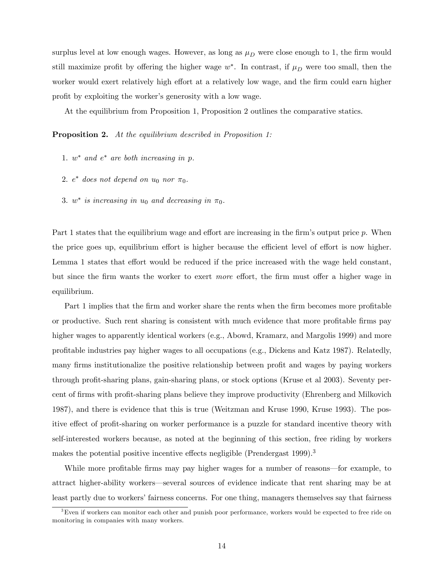surplus level at low enough wages. However, as long as  $\mu_D$  were close enough to 1, the firm would still maximize profit by offering the higher wage  $w^*$ . In contrast, if  $\mu_D$  were too small, then the worker would exert relatively high effort at a relatively low wage, and the firm could earn higher profit by exploiting the worker's generosity with a low wage.

At the equilibrium from Proposition 1, Proposition 2 outlines the comparative statics.

Proposition 2. At the equilibrium described in Proposition 1:

- 1.  $w^*$  and  $e^*$  are both increasing in p.
- 2.  $e^*$  does not depend on  $u_0$  nor  $\pi_0$ .
- 3.  $w^*$  is increasing in  $u_0$  and decreasing in  $\pi_0$ .

Part 1 states that the equilibrium wage and effort are increasing in the firm's output price  $p$ . When the price goes up, equilibrium effort is higher because the efficient level of effort is now higher. Lemma 1 states that effort would be reduced if the price increased with the wage held constant, but since the firm wants the worker to exert *more* effort, the firm must offer a higher wage in equilibrium.

Part 1 implies that the firm and worker share the rents when the firm becomes more profitable or productive. Such rent sharing is consistent with much evidence that more profitable firms pay higher wages to apparently identical workers (e.g., Abowd, Kramarz, and Margolis 1999) and more profitable industries pay higher wages to all occupations (e.g., Dickens and Katz 1987). Relatedly, many firms institutionalize the positive relationship between profit and wages by paying workers through profit-sharing plans, gain-sharing plans, or stock options (Kruse et al 2003). Seventy percent of firms with profit-sharing plans believe they improve productivity (Ehrenberg and Milkovich 1987), and there is evidence that this is true (Weitzman and Kruse 1990, Kruse 1993). The positive effect of profit-sharing on worker performance is a puzzle for standard incentive theory with self-interested workers because, as noted at the beginning of this section, free riding by workers makes the potential positive incentive effects negligible (Prendergast  $1999$ ).<sup>3</sup>

While more profitable firms may pay higher wages for a number of reasons—for example, to attract higher-ability workers—several sources of evidence indicate that rent sharing may be at least partly due to workers' fairness concerns. For one thing, managers themselves say that fairness

<sup>&</sup>lt;sup>3</sup>Even if workers can monitor each other and punish poor performance, workers would be expected to free ride on monitoring in companies with many workers.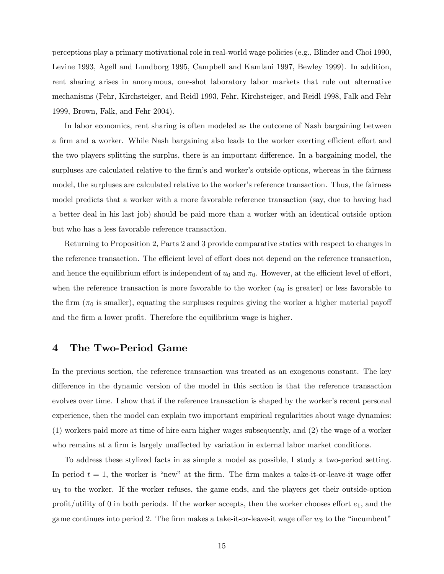perceptions play a primary motivational role in real-world wage policies (e.g., Blinder and Choi 1990, Levine 1993, Agell and Lundborg 1995, Campbell and Kamlani 1997, Bewley 1999). In addition, rent sharing arises in anonymous, one-shot laboratory labor markets that rule out alternative mechanisms (Fehr, Kirchsteiger, and Reidl 1993, Fehr, Kirchsteiger, and Reidl 1998, Falk and Fehr 1999, Brown, Falk, and Fehr 2004).

In labor economics, rent sharing is often modeled as the outcome of Nash bargaining between a firm and a worker. While Nash bargaining also leads to the worker exerting efficient effort and the two players splitting the surplus, there is an important difference. In a bargaining model, the surpluses are calculated relative to the firm's and worker's outside options, whereas in the fairness model, the surpluses are calculated relative to the worker's reference transaction. Thus, the fairness model predicts that a worker with a more favorable reference transaction (say, due to having had a better deal in his last job) should be paid more than a worker with an identical outside option but who has a less favorable reference transaction.

Returning to Proposition 2, Parts 2 and 3 provide comparative statics with respect to changes in the reference transaction. The efficient level of effort does not depend on the reference transaction, and hence the equilibrium effort is independent of  $u_0$  and  $\pi_0$ . However, at the efficient level of effort, when the reference transaction is more favorable to the worker  $(u_0$  is greater) or less favorable to the firm  $(\pi_0$  is smaller), equating the surpluses requires giving the worker a higher material payoff and the firm a lower profit. Therefore the equilibrium wage is higher.

## 4 The Two-Period Game

In the previous section, the reference transaction was treated as an exogenous constant. The key difference in the dynamic version of the model in this section is that the reference transaction evolves over time. I show that if the reference transaction is shaped by the worker's recent personal experience, then the model can explain two important empirical regularities about wage dynamics: (1) workers paid more at time of hire earn higher wages subsequently, and (2) the wage of a worker who remains at a firm is largely unaffected by variation in external labor market conditions.

To address these stylized facts in as simple a model as possible, I study a two-period setting. In period  $t = 1$ , the worker is "new" at the firm. The firm makes a take-it-or-leave-it wage offer  $w_1$  to the worker. If the worker refuses, the game ends, and the players get their outside-option profit/utility of 0 in both periods. If the worker accepts, then the worker chooses effort  $e_1$ , and the game continues into period 2. The firm makes a take-it-or-leave-it wage offer  $w_2$  to the "incumbent"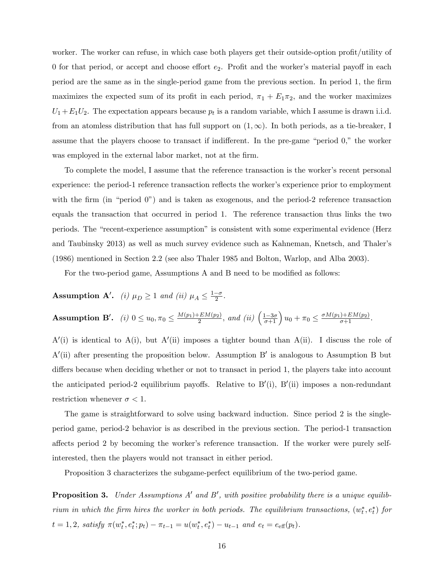worker. The worker can refuse, in which case both players get their outside-option profit/utility of 0 for that period, or accept and choose effort  $e_2$ . Profit and the worker's material payoff in each period are the same as in the single-period game from the previous section. In period 1, the Örm maximizes the expected sum of its profit in each period,  $\pi_1 + E_1 \pi_2$ , and the worker maximizes  $U_1 + E_1 U_2$ . The expectation appears because  $p_t$  is a random variable, which I assume is drawn i.i.d. from an atomless distribution that has full support on  $(1,\infty)$ . In both periods, as a tie-breaker, I assume that the players choose to transact if indifferent. In the pre-game "period  $0$ ," the worker was employed in the external labor market, not at the firm.

To complete the model, I assume that the reference transaction is the worker's recent personal experience: the period-1 reference transaction reflects the worker's experience prior to employment with the firm (in "period  $0$ ") and is taken as exogenous, and the period-2 reference transaction equals the transaction that occurred in period 1. The reference transaction thus links the two periods. The "recent-experience assumption" is consistent with some experimental evidence (Herz and Taubinsky 2013) as well as much survey evidence such as Kahneman, Knetsch, and Thaler's (1986) mentioned in Section 2.2 (see also Thaler 1985 and Bolton, Warlop, and Alba 2003).

For the two-period game, Assumptions A and B need to be modified as follows:

# Assumption A'. (i)  $\mu_D \ge 1$  and (ii)  $\mu_A \le \frac{1-\sigma}{2}$ .

**Assumption B'.** (i)  $0 \leq u_0, \pi_0 \leq \frac{M(p_1) + EM(p_2)}{2}$  $\frac{1 - EM(p_2)}{2}$ , and (ii)  $\left(\frac{1 - 3\sigma}{\sigma + 1}\right)u_0 + \pi_0 \leq \frac{\sigma M(p_1) + EM(p_2)}{\sigma + 1}$ .

 $A'(i)$  is identical to  $A(i)$ , but  $A'(ii)$  imposes a tighter bound than  $A(ii)$ . I discuss the role of  $A'(ii)$  after presenting the proposition below. Assumption B' is analogous to Assumption B but differs because when deciding whether or not to transact in period 1, the players take into account the anticipated period-2 equilibrium payoffs. Relative to  $B'(i)$ ,  $B'(ii)$  imposes a non-redundant restriction whenever  $\sigma < 1$ .

The game is straightforward to solve using backward induction. Since period 2 is the singleperiod game, period-2 behavior is as described in the previous section. The period-1 transaction affects period 2 by becoming the worker's reference transaction. If the worker were purely selfinterested, then the players would not transact in either period.

Proposition 3 characterizes the subgame-perfect equilibrium of the two-period game.

**Proposition 3.** Under Assumptions  $A'$  and  $B'$ , with positive probability there is a unique equilibrium in which the firm hires the worker in both periods. The equilibrium transactions,  $(w_t^*, e_t^*)$  for  $t = 1, 2$ , satisfy  $\pi(w_t^*, e_t^*; p_t) - \pi_{t-1} = u(w_t^*, e_t^*) - u_{t-1}$  and  $e_t = e_{\text{eff}}(p_t)$ .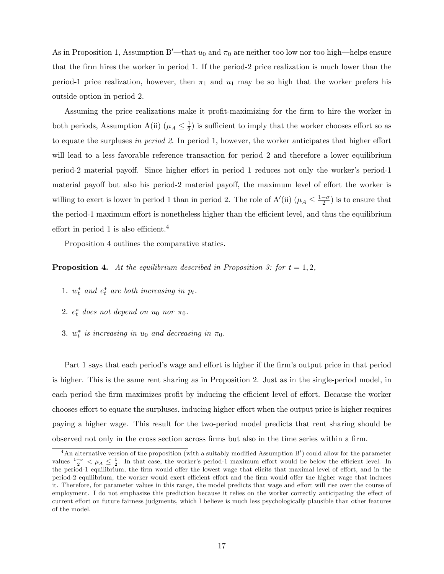As in Proposition 1, Assumption B'—that  $u_0$  and  $\pi_0$  are neither too low nor too high—helps ensure that the firm hires the worker in period 1. If the period-2 price realization is much lower than the period-1 price realization, however, then  $\pi_1$  and  $u_1$  may be so high that the worker prefers his outside option in period 2.

Assuming the price realizations make it profit-maximizing for the firm to hire the worker in both periods, Assumption A(ii)  $(\mu_A \leq \frac{1}{2})$  $\frac{1}{2}$ ) is sufficient to imply that the worker chooses effort so as to equate the surpluses in period 2. In period 1, however, the worker anticipates that higher effort will lead to a less favorable reference transaction for period 2 and therefore a lower equilibrium period-2 material payoff. Since higher effort in period 1 reduces not only the worker's period-1 material payoff but also his period-2 material payoff, the maximum level of effort the worker is willing to exert is lower in period 1 than in period 2. The role of  $A'(ii)$   $(\mu_A \leq \frac{1-\sigma}{2})$  is to ensure that the period-1 maximum effort is nonetheless higher than the efficient level, and thus the equilibrium effort in period 1 is also efficient.<sup>4</sup>

Proposition 4 outlines the comparative statics.

**Proposition 4.** At the equilibrium described in Proposition 3: for  $t = 1, 2$ ,

- 1.  $w_t^*$  and  $e_t^*$  are both increasing in  $p_t$ .
- 2.  $e_t^*$  does not depend on  $u_0$  nor  $\pi_0$ .
- 3.  $w_t^*$  is increasing in  $u_0$  and decreasing in  $\pi_0$ .

Part 1 says that each period's wage and effort is higher if the firm's output price in that period is higher. This is the same rent sharing as in Proposition 2. Just as in the single-period model, in each period the firm maximizes profit by inducing the efficient level of effort. Because the worker chooses effort to equate the surpluses, inducing higher effort when the output price is higher requires paying a higher wage. This result for the two-period model predicts that rent sharing should be observed not only in the cross section across firms but also in the time series within a firm.

 $^{4}$ An alternative version of the proposition (with a suitably modified Assumption B') could allow for the parameter values  $\frac{1-\sigma}{2} < \mu_A \leq \frac{1}{2}$ . In that case, the worker's period-1 maximum effort would be below the efficient level. In the period-1 equilibrium, the firm would offer the lowest wage that elicits that maximal level of effort, and in the period-2 equilibrium, the worker would exert efficient effort and the firm would offer the higher wage that induces it. Therefore, for parameter values in this range, the model predicts that wage and effort will rise over the course of employment. I do not emphasize this prediction because it relies on the worker correctly anticipating the effect of current effort on future fairness judgments, which I believe is much less psychologically plausible than other features of the model.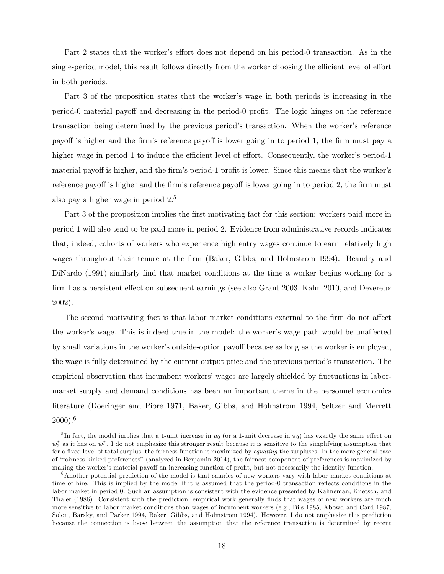Part 2 states that the worker's effort does not depend on his period-0 transaction. As in the single-period model, this result follows directly from the worker choosing the efficient level of effort in both periods.

Part 3 of the proposition states that the worker's wage in both periods is increasing in the period-0 material payoff and decreasing in the period-0 profit. The logic hinges on the reference transaction being determined by the previous period's transaction. When the worker's reference payoff is higher and the firm's reference payoff is lower going in to period 1, the firm must pay a higher wage in period 1 to induce the efficient level of effort. Consequently, the worker's period-1 material payoff is higher, and the firm's period-1 profit is lower. Since this means that the worker's reference payoff is higher and the firm's reference payoff is lower going in to period 2, the firm must also pay a higher wage in period 2.<sup>5</sup>

Part 3 of the proposition implies the first motivating fact for this section: workers paid more in period 1 will also tend to be paid more in period 2. Evidence from administrative records indicates that, indeed, cohorts of workers who experience high entry wages continue to earn relatively high wages throughout their tenure at the firm (Baker, Gibbs, and Holmstrom 1994). Beaudry and DiNardo (1991) similarly find that market conditions at the time a worker begins working for a firm has a persistent effect on subsequent earnings (see also Grant 2003, Kahn 2010, and Devereux 2002).

The second motivating fact is that labor market conditions external to the firm do not affect the worker's wage. This is indeed true in the model: the worker's wage path would be unaffected by small variations in the worker's outside-option payoff because as long as the worker is employed, the wage is fully determined by the current output price and the previous period's transaction. The empirical observation that incumbent workers' wages are largely shielded by fluctuations in labormarket supply and demand conditions has been an important theme in the personnel economics literature (Doeringer and Piore 1971, Baker, Gibbs, and Holmstrom 1994, Seltzer and Merrett  $2000$ ).<sup>6</sup>

<sup>&</sup>lt;sup>5</sup>In fact, the model implies that a 1-unit increase in  $u_0$  (or a 1-unit decrease in  $\pi_0$ ) has exactly the same effect on  $w_2^*$  as it has on  $w_1^*$ . I do not emphasize this stronger result because it is sensitive to the simplifying assumption that for a fixed level of total surplus, the fairness function is maximized by *equating* the surpluses. In the more general case of "fairness-kinked preferences" (analyzed in Benjamin 2014), the fairness component of preferences is maximized by making the worker's material payoff an increasing function of profit, but not necessarily the identity function.

<sup>&</sup>lt;sup>6</sup>Another potential prediction of the model is that salaries of new workers vary with labor market conditions at time of hire. This is implied by the model if it is assumed that the period-0 transaction reflects conditions in the labor market in period 0. Such an assumption is consistent with the evidence presented by Kahneman, Knetsch, and Thaler (1986). Consistent with the prediction, empirical work generally finds that wages of new workers are much more sensitive to labor market conditions than wages of incumbent workers (e.g., Bils 1985, Abowd and Card 1987, Solon, Barsky, and Parker 1994, Baker, Gibbs, and Holmstrom 1994). However, I do not emphasize this prediction because the connection is loose between the assumption that the reference transaction is determined by recent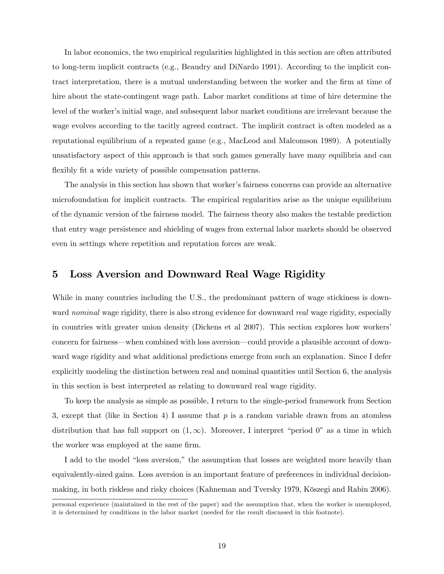In labor economics, the two empirical regularities highlighted in this section are often attributed to long-term implicit contracts (e.g., Beaudry and DiNardo 1991). According to the implicit contract interpretation, there is a mutual understanding between the worker and the firm at time of hire about the state-contingent wage path. Labor market conditions at time of hire determine the level of the worker's initial wage, and subsequent labor market conditions are irrelevant because the wage evolves according to the tacitly agreed contract. The implicit contract is often modeled as a reputational equilibrium of a repeated game (e.g., MacLeod and Malcomson 1989). A potentially unsatisfactory aspect of this approach is that such games generally have many equilibria and can flexibly fit a wide variety of possible compensation patterns.

The analysis in this section has shown that worker's fairness concerns can provide an alternative microfoundation for implicit contracts. The empirical regularities arise as the unique equilibrium of the dynamic version of the fairness model. The fairness theory also makes the testable prediction that entry wage persistence and shielding of wages from external labor markets should be observed even in settings where repetition and reputation forces are weak.

## 5 Loss Aversion and Downward Real Wage Rigidity

While in many countries including the U.S., the predominant pattern of wage stickiness is downward nominal wage rigidity, there is also strong evidence for downward real wage rigidity, especially in countries with greater union density (Dickens et al 2007). This section explores how workers' concern for fairness—when combined with loss aversion—could provide a plausible account of downward wage rigidity and what additional predictions emerge from such an explanation. Since I defer explicitly modeling the distinction between real and nominal quantities until Section 6, the analysis in this section is best interpreted as relating to downward real wage rigidity.

To keep the analysis as simple as possible, I return to the single-period framework from Section 3, except that (like in Section 4) I assume that  $p$  is a random variable drawn from an atomless distribution that has full support on  $(1,\infty)$ . Moreover, I interpret "period 0" as a time in which the worker was employed at the same firm.

I add to the model "loss aversion," the assumption that losses are weighted more heavily than equivalently-sized gains. Loss aversion is an important feature of preferences in individual decisionmaking, in both riskless and risky choices (Kahneman and Tversky 1979, Köszegi and Rabin 2006).

personal experience (maintained in the rest of the paper) and the assumption that, when the worker is unemployed, it is determined by conditions in the labor market (needed for the result discussed in this footnote).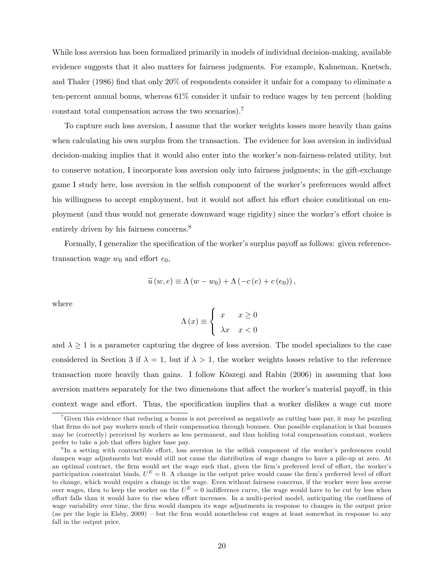While loss aversion has been formalized primarily in models of individual decision-making, available evidence suggests that it also matters for fairness judgments. For example, Kahneman, Knetsch, and Thaler  $(1986)$  find that only  $20\%$  of respondents consider it unfair for a company to eliminate a ten-percent annual bonus, whereas 61% consider it unfair to reduce wages by ten percent (holding constant total compensation across the two scenarios).<sup>7</sup>

To capture such loss aversion, I assume that the worker weights losses more heavily than gains when calculating his own surplus from the transaction. The evidence for loss aversion in individual decision-making implies that it would also enter into the worker's non-fairness-related utility, but to conserve notation, I incorporate loss aversion only into fairness judgments; in the gift-exchange game I study here, loss aversion in the selfish component of the worker's preferences would affect his willingness to accept employment, but it would not affect his effort choice conditional on employment (and thus would not generate downward wage rigidity) since the worker's effort choice is entirely driven by his fairness concerns.<sup>8</sup>

Formally, I generalize the specification of the worker's surplus payoff as follows: given referencetransaction wage  $w_0$  and effort  $e_0$ ,

$$
\widetilde{u}(w,e) \equiv \Lambda(w - w_0) + \Lambda(-c(e) + c(e_0)),
$$

where

$$
\Lambda(x) \equiv \begin{cases} x & x \ge 0 \\ \lambda x & x < 0 \end{cases}
$$

and  $\lambda \geq 1$  is a parameter capturing the degree of loss aversion. The model specializes to the case considered in Section 3 if  $\lambda = 1$ , but if  $\lambda > 1$ , the worker weights losses relative to the reference transaction more heavily than gains. I follow Köszegi and Rabin (2006) in assuming that loss aversion matters separately for the two dimensions that affect the worker's material payoff, in this context wage and effort. Thus, the specification implies that a worker dislikes a wage cut more

<sup>&</sup>lt;sup>7</sup>Given this evidence that reducing a bonus is not perceived as negatively as cutting base pay, it may be puzzling that firms do not pay workers much of their compensation through bonuses. One possible explanation is that bonuses may be (correctly) perceived by workers as less permanent, and thus holding total compensation constant, workers prefer to take a job that offers higher base pay.

<sup>&</sup>lt;sup>8</sup>In a setting with contractible effort, loss aversion in the selfish component of the worker's preferences could dampen wage adjustments but would still not cause the distribution of wage changes to have a pile-up at zero. At an optimal contract, the firm would set the wage such that, given the firm's preferred level of effort, the worker's participation constraint binds,  $U^E = 0$ . A change in the output price would cause the firm's preferred level of effort to change, which would require a change in the wage. Even without fairness concerns, if the worker were loss averse over wages, then to keep the worker on the  $U^E = 0$  indifference curve, the wage would have to be cut by less when effort falls than it would have to rise when effort increases. In a multi-period model, anticipating the costliness of wage variability over time, the firm would dampen its wage adjustments in response to changes in the output price (as per the logic in Elsby,  $2009$ ) —but the firm would nonetheless cut wages at least somewhat in response to any fall in the output price.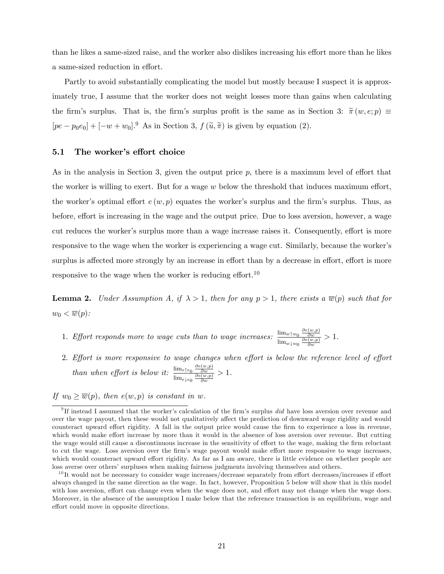than he likes a same-sized raise, and the worker also dislikes increasing his effort more than he likes a same-sized reduction in effort.

Partly to avoid substantially complicating the model but mostly because I suspect it is approximately true, I assume that the worker does not weight losses more than gains when calculating the firm's surplus. That is, the firm's surplus profit is the same as in Section 3:  $\tilde{\pi}(w, e; p) \equiv$  $[pe - p_0e_0] + [-w + w_0]^9$  As in Section 3,  $f(\tilde{u}, \tilde{\pi})$  is given by equation (2).

#### 5.1 The worker's effort choice

As in the analysis in Section 3, given the output price  $p$ , there is a maximum level of effort that the worker is willing to exert. But for a wage  $w$  below the threshold that induces maximum effort, the worker's optimal effort  $e(w, p)$  equates the worker's surplus and the firm's surplus. Thus, as before, effort is increasing in the wage and the output price. Due to loss aversion, however, a wage cut reduces the worker's surplus more than a wage increase raises it. Consequently, effort is more responsive to the wage when the worker is experiencing a wage cut. Similarly, because the worker's surplus is affected more strongly by an increase in effort than by a decrease in effort, effort is more responsive to the wage when the worker is reducing effort.<sup>10</sup>

**Lemma 2.** Under Assumption A, if  $\lambda > 1$ , then for any  $p > 1$ , there exists a  $\overline{w}(p)$  such that for  $w_0 < \overline{w}(p)$ :

- 1. Effort responds more to wage cuts than to wage increases:  $\frac{\lim_{w \uparrow w_0} \frac{\partial e(w,p)}{\partial w}}{\lim_{w \uparrow w_0} \frac{\partial e(w,p)}{\partial w}}$  $\lim_{w \downarrow w_0} \frac{\partial e(w,p)}{\partial w}$  $> 1$ .
- 2. Effort is more responsive to wage changes when effort is below the reference level of effort than when effort is below it:  $\frac{\lim_{e \uparrow e_0} \frac{\partial e(w,p)}{\partial w}}{\lim_{e \uparrow w} \frac{\partial e(w,p)}{\partial w}}$  $\lim_{e\downarrow e_0} \frac{\partial e(w,p)}{\partial w}$  $> 1$ .

If  $w_0 \ge \overline{w}(p)$ , then  $e(w, p)$  is constant in w.

 $^{9}$ If instead I assumed that the worker's calculation of the firm's surplus did have loss aversion over revenue and over the wage payout, then these would not qualitatively affect the prediction of downward wage rigidity and would counteract upward effort rigidity. A fall in the output price would cause the firm to experience a loss in revenue, which would make effort increase by more than it would in the absence of loss aversion over revenue. But cutting the wage would still cause a discontinuous increase in the sensitivity of effort to the wage, making the firm reluctant to cut the wage. Loss aversion over the firm's wage payout would make effort more responsive to wage increases, which would counteract upward effort rigidity. As far as I am aware, there is little evidence on whether people are loss averse over others' surpluses when making fairness judgments involving themselves and others.

 $10$ It would not be necessary to consider wage increases/decrease separately from effort decreases/increases if effort always changed in the same direction as the wage. In fact, however, Proposition 5 below will show that in this model with loss aversion, effort can change even when the wage does not, and effort may not change when the wage does. Moreover, in the absence of the assumption I make below that the reference transaction is an equilibrium, wage and effort could move in opposite directions.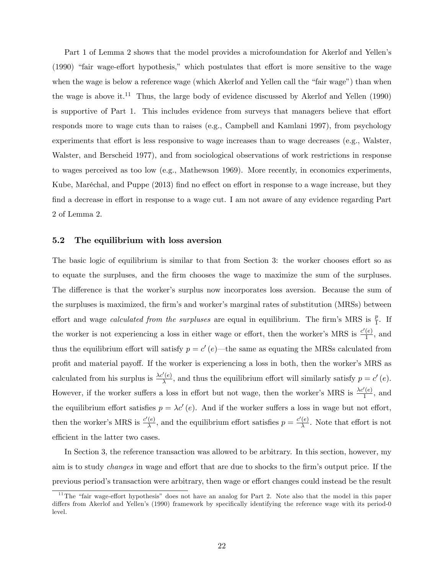Part 1 of Lemma 2 shows that the model provides a microfoundation for Akerlof and Yellen's  $(1990)$  "fair wage-effort hypothesis," which postulates that effort is more sensitive to the wage when the wage is below a reference wage (which Akerlof and Yellen call the "fair wage") than when the wage is above it.<sup>11</sup> Thus, the large body of evidence discussed by Akerlof and Yellen  $(1990)$ is supportive of Part 1. This includes evidence from surveys that managers believe that effort responds more to wage cuts than to raises (e.g., Campbell and Kamlani 1997), from psychology experiments that effort is less responsive to wage increases than to wage decreases (e.g., Walster, Walster, and Berscheid 1977), and from sociological observations of work restrictions in response to wages perceived as too low (e.g., Mathewson 1969). More recently, in economics experiments, Kube, Maréchal, and Puppe (2013) find no effect on effort in response to a wage increase, but they find a decrease in effort in response to a wage cut. I am not aware of any evidence regarding Part 2 of Lemma 2.

### 5.2 The equilibrium with loss aversion

The basic logic of equilibrium is similar to that from Section 3: the worker chooses effort so as to equate the surpluses, and the Örm chooses the wage to maximize the sum of the surpluses. The difference is that the worker's surplus now incorporates loss aversion. Because the sum of the surpluses is maximized, the firm's and worker's marginal rates of substitution (MRSs) between effort and wage *calculated from the surpluses* are equal in equilibrium. The firm's MRS is  $\frac{p}{1}$ . If the worker is not experiencing a loss in either wage or effort, then the worker's MRS is  $\frac{c'(e)}{1}$  $\frac{(e)}{1}$ , and thus the equilibrium effort will satisfy  $p = c'(e)$ —the same as equating the MRSs calculated from profit and material payoff. If the worker is experiencing a loss in both, then the worker's MRS as calculated from his surplus is  $\frac{\lambda c'(e)}{\lambda}$  $\frac{\partial^2 (e)}{\partial \lambda}$ , and thus the equilibrium effort will similarly satisfy  $p = c'(e)$ . However, if the worker suffers a loss in effort but not wage, then the worker's MRS is  $\frac{\lambda c'(e)}{1}$  $\frac{e}{1}$ , and the equilibrium effort satisfies  $p = \lambda c'(e)$ . And if the worker suffers a loss in wage but not effort, then the worker's MRS is  $\frac{c'(e)}{\lambda}$  $\frac{e}{\lambda}$ , and the equilibrium effort satisfies  $p = \frac{c'(e)}{\lambda}$  $\frac{e}{\lambda}$ . Note that effort is not efficient in the latter two cases.

In Section 3, the reference transaction was allowed to be arbitrary. In this section, however, my aim is to study *changes* in wage and effort that are due to shocks to the firm's output price. If the previous period's transaction were arbitrary, then wage or effort changes could instead be the result

 $11$ The "fair wage-effort hypothesis" does not have an analog for Part 2. Note also that the model in this paper differs from Akerlof and Yellen's (1990) framework by specifically identifying the reference wage with its period-0 level.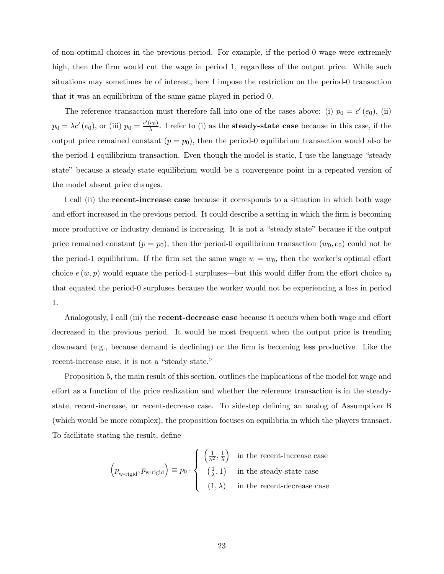of non-optimal choices in the previous period. For example, if the period-0 wage were extremely high, then the firm would cut the wage in period 1, regardless of the output price. While such situations may sometimes be of interest, here I impose the restriction on the period-0 transaction that it was an equilibrium of the same game played in period 0.

The reference transaction must therefore fall into one of the cases above: (i)  $p_0 = c'(e_0)$ , (ii)  $p_0 = \lambda c' (e_0), \, \text{or (iii) } p_0 = \frac{c'(e_0)}{\lambda}$  $\frac{e_{0}}{\lambda}$ . I refer to (i) as the **steady-state case** because in this case, if the output price remained constant  $(p = p_0)$ , then the period-0 equilibrium transaction would also be the period-1 equilibrium transaction. Even though the model is static, I use the language "steady" state" because a steady-state equilibrium would be a convergence point in a repeated version of the model absent price changes.

I call (ii) the recent-increase case because it corresponds to a situation in which both wage and effort increased in the previous period. It could describe a setting in which the firm is becoming more productive or industry demand is increasing. It is not a "steady state" because if the output price remained constant  $(p = p_0)$ , then the period-0 equilibrium transaction  $(w_0, e_0)$  could not be the period-1 equilibrium. If the firm set the same wage  $w = w_0$ , then the worker's optimal effort choice  $e(w, p)$  would equate the period-1 surpluses—but this would differ from the effort choice  $e_0$ that equated the period-0 surpluses because the worker would not be experiencing a loss in period 1.

Analogously, I call (iii) the **recent-decrease case** because it occurs when both wage and effort decreased in the previous period. It would be most frequent when the output price is trending downward (e.g., because demand is declining) or the firm is becoming less productive. Like the recent-increase case, it is not a "steady state."

Proposition 5, the main result of this section, outlines the implications of the model for wage and effort as a function of the price realization and whether the reference transaction is in the steadystate, recent-increase, or recent-decrease case. To sidestep defining an analog of Assumption B (which would be more complex), the proposition focuses on equilibria in which the players transact. To facilitate stating the result, define

$$
\left(\underline{p}_{\text{w-rigid}}, \overline{p}_{\text{w-rigid}}\right) \equiv p_0 \cdot \begin{cases} \left(\frac{1}{\lambda^2}, \frac{1}{\lambda}\right) & \text{in the recent-increase case} \\ \left(\frac{1}{\lambda}, 1\right) & \text{in the steady-state case} \\ (1, \lambda) & \text{in the recent-decrease case} \end{cases}
$$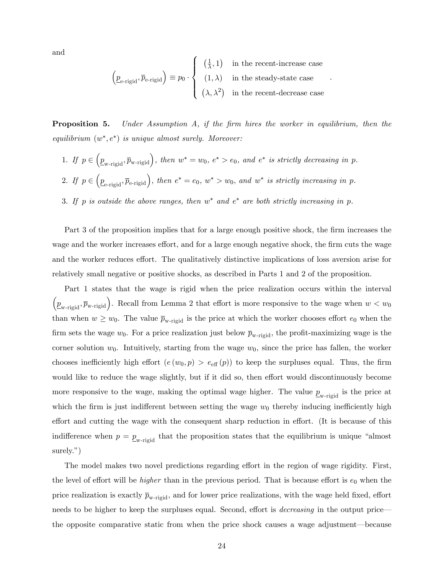and

$$
\left(\underline{p}_{\text{e-rigid}}, \overline{p}_{\text{e-rigid}}\right) \equiv p_0 \cdot \left\{\begin{array}{cl} \left(\frac{1}{\lambda}, 1\right) & \text{in the recent-increase case} \\ (1, \lambda) & \text{in the steady-state case} \\ (\lambda, \lambda^2) & \text{in the recent-decrease case} \end{array}\right.\right\}.
$$

**Proposition 5.** Under Assumption A, if the firm hires the worker in equilibrium, then the equilibrium  $(w^*, e^*)$  is unique almost surely. Moreover:

- 1. If  $p \in (\underline{p}_{w\text{-rigid}}, \overline{p}_{w\text{-rigid}})$ , then  $w^* = w_0$ ,  $e^* > e_0$ , and  $e^*$  is strictly decreasing in p.
- 2. If  $p \in (p_{\text{e-rigid}}, \bar{p}_{\text{e-rigid}})$ , then  $e^* = e_0$ ,  $w^* > w_0$ , and  $w^*$  is strictly increasing in p.
- 3. If p is outside the above ranges, then  $w^*$  and  $e^*$  are both strictly increasing in p.

Part 3 of the proposition implies that for a large enough positive shock, the firm increases the wage and the worker increases effort, and for a large enough negative shock, the firm cuts the wage and the worker reduces effort. The qualitatively distinctive implications of loss aversion arise for relatively small negative or positive shocks, as described in Parts 1 and 2 of the proposition.

Part 1 states that the wage is rigid when the price realization occurs within the interval  $\left(\underline{p}_{w\text{-rigid}}, \overline{p}_{w\text{-rigid}}\right)$ . Recall from Lemma 2 that effort is more responsive to the wage when  $w < w_0$ than when  $w \geq w_0$ . The value  $\bar{p}_{w\text{-rigid}}$  is the price at which the worker chooses effort  $e_0$  when the firm sets the wage  $w_0$ . For a price realization just below  $\bar{p}_{w\text{-rigid}}$ , the profit-maximizing wage is the corner solution  $w_0$ . Intuitively, starting from the wage  $w_0$ , since the price has fallen, the worker chooses inefficiently high effort  $(e(w_0, p) > e_{\text{eff}}(p))$  to keep the surpluses equal. Thus, the firm would like to reduce the wage slightly, but if it did so, then effort would discontinuously become more responsive to the wage, making the optimal wage higher. The value  $\underline{p}_{\text{w-rigid}}$  is the price at which the firm is just indifferent between setting the wage  $w_0$  thereby inducing inefficiently high effort and cutting the wage with the consequent sharp reduction in effort. (It is because of this indifference when  $p = \underline{p}_{w\text{-rigid}}$  that the proposition states that the equilibrium is unique "almost"  $surely."$ 

The model makes two novel predictions regarding effort in the region of wage rigidity. First, the level of effort will be *higher* than in the previous period. That is because effort is  $e_0$  when the price realization is exactly  $\bar{p}_{w\text{-rigid}}$ , and for lower price realizations, with the wage held fixed, effort needs to be higher to keep the surpluses equal. Second, effort is *decreasing* in the output price the opposite comparative static from when the price shock causes a wage adjustment—because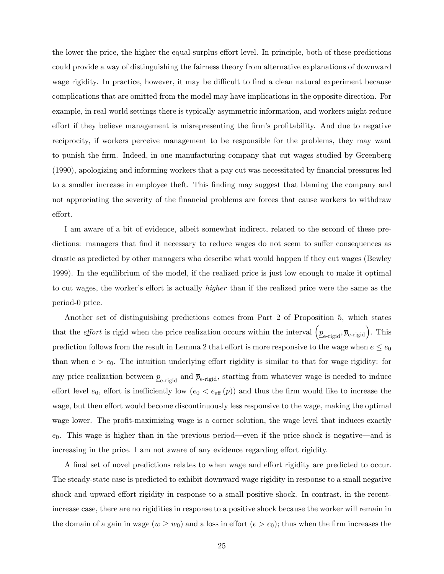the lower the price, the higher the equal-surplus effort level. In principle, both of these predictions could provide a way of distinguishing the fairness theory from alternative explanations of downward wage rigidity. In practice, however, it may be difficult to find a clean natural experiment because complications that are omitted from the model may have implications in the opposite direction. For example, in real-world settings there is typically asymmetric information, and workers might reduce effort if they believe management is misrepresenting the firm's profitability. And due to negative reciprocity, if workers perceive management to be responsible for the problems, they may want to punish the Örm. Indeed, in one manufacturing company that cut wages studied by Greenberg (1990), apologizing and informing workers that a pay cut was necessitated by Önancial pressures led to a smaller increase in employee theft. This Önding may suggest that blaming the company and not appreciating the severity of the financial problems are forces that cause workers to withdraw effort.

I am aware of a bit of evidence, albeit somewhat indirect, related to the second of these predictions: managers that find it necessary to reduce wages do not seem to suffer consequences as drastic as predicted by other managers who describe what would happen if they cut wages (Bewley 1999). In the equilibrium of the model, if the realized price is just low enough to make it optimal to cut wages, the worker's effort is actually *higher* than if the realized price were the same as the period-0 price.

Another set of distinguishing predictions comes from Part 2 of Proposition 5, which states that the *effort* is rigid when the price realization occurs within the interval  $(p_{e\text{-rigid}}, \bar{p}_{e\text{-rigid}})$ . This prediction follows from the result in Lemma 2 that effort is more responsive to the wage when  $e \leq e_0$ than when  $e > e_0$ . The intuition underlying effort rigidity is similar to that for wage rigidity: for any price realization between  $\underline{p}_{e\text{-rigid}}$  and  $\overline{p}_{e\text{-rigid}}$ , starting from whatever wage is needed to induce effort level  $e_0$ , effort is inefficiently low  $(e_0 < e_{\text{eff}}(p))$  and thus the firm would like to increase the wage, but then effort would become discontinuously less responsive to the wage, making the optimal wage lower. The profit-maximizing wage is a corner solution, the wage level that induces exactly  $e_0$ . This wage is higher than in the previous period—even if the price shock is negative—and is increasing in the price. I am not aware of any evidence regarding effort rigidity.

A final set of novel predictions relates to when wage and effort rigidity are predicted to occur. The steady-state case is predicted to exhibit downward wage rigidity in response to a small negative shock and upward effort rigidity in response to a small positive shock. In contrast, in the recentincrease case, there are no rigidities in response to a positive shock because the worker will remain in the domain of a gain in wage  $(w \geq w_0)$  and a loss in effort  $(e > e_0)$ ; thus when the firm increases the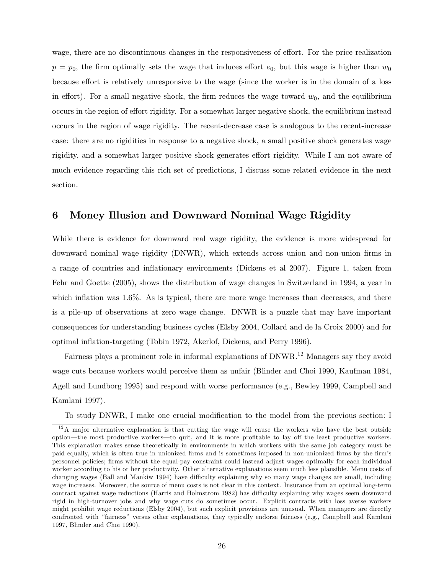wage, there are no discontinuous changes in the responsiveness of effort. For the price realization  $p = p_0$ , the firm optimally sets the wage that induces effort  $e_0$ , but this wage is higher than  $w_0$ because effort is relatively unresponsive to the wage (since the worker is in the domain of a loss in effort). For a small negative shock, the firm reduces the wage toward  $w_0$ , and the equilibrium occurs in the region of effort rigidity. For a somewhat larger negative shock, the equilibrium instead occurs in the region of wage rigidity. The recent-decrease case is analogous to the recent-increase case: there are no rigidities in response to a negative shock, a small positive shock generates wage rigidity, and a somewhat larger positive shock generates effort rigidity. While I am not aware of much evidence regarding this rich set of predictions, I discuss some related evidence in the next section.

## 6 Money Illusion and Downward Nominal Wage Rigidity

While there is evidence for downward real wage rigidity, the evidence is more widespread for downward nominal wage rigidity (DNWR), which extends across union and non-union Örms in a range of countries and ináationary environments (Dickens et al 2007). Figure 1, taken from Fehr and Goette (2005), shows the distribution of wage changes in Switzerland in 1994, a year in which inflation was  $1.6\%$ . As is typical, there are more wage increases than decreases, and there is a pile-up of observations at zero wage change. DNWR is a puzzle that may have important consequences for understanding business cycles (Elsby 2004, Collard and de la Croix 2000) and for optimal ináation-targeting (Tobin 1972, Akerlof, Dickens, and Perry 1996).

Fairness plays a prominent role in informal explanations of DNWR.<sup>12</sup> Managers say they avoid wage cuts because workers would perceive them as unfair (Blinder and Choi 1990, Kaufman 1984, Agell and Lundborg 1995) and respond with worse performance (e.g., Bewley 1999, Campbell and Kamlani 1997).

To study DNWR, I make one crucial modification to the model from the previous section: I

 $12$ A major alternative explanation is that cutting the wage will cause the workers who have the best outside option—the most productive workers—to quit, and it is more profitable to lay off the least productive workers. This explanation makes sense theoretically in environments in which workers with the same job category must be paid equally, which is often true in unionized firms and is sometimes imposed in non-unionized firms by the firm's personnel policies; Örms without the equal-pay constraint could instead adjust wages optimally for each individual worker according to his or her productivity. Other alternative explanations seem much less plausible. Menu costs of changing wages (Ball and Mankiw 1994) have difficulty explaining why so many wage changes are small, including wage increases. Moreover, the source of menu costs is not clear in this context. Insurance from an optimal long-term contract against wage reductions (Harris and Holmstrom 1982) has difficulty explaining why wages seem downward rigid in high-turnover jobs and why wage cuts do sometimes occur. Explicit contracts with loss averse workers might prohibit wage reductions (Elsby 2004), but such explicit provisions are unusual. When managers are directly confronted with "fairness" versus other explanations, they typically endorse fairness (e.g., Campbell and Kamlani 1997, Blinder and Choi 1990).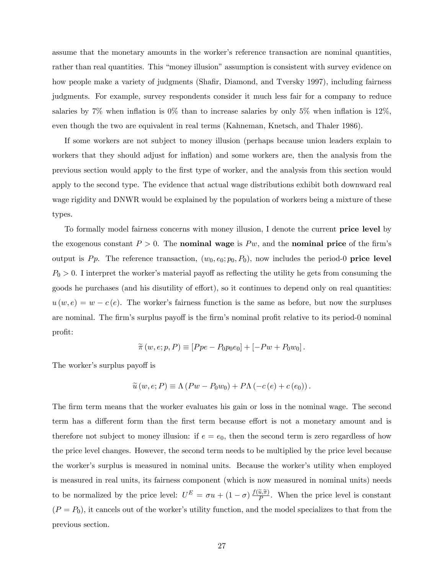assume that the monetary amounts in the worker's reference transaction are nominal quantities, rather than real quantities. This "money illusion" assumption is consistent with survey evidence on how people make a variety of judgments (Shafir, Diamond, and Tversky 1997), including fairness judgments. For example, survey respondents consider it much less fair for a company to reduce salaries by 7% when inflation is 0% than to increase salaries by only 5% when inflation is 12%, even though the two are equivalent in real terms (Kahneman, Knetsch, and Thaler 1986).

If some workers are not subject to money illusion (perhaps because union leaders explain to workers that they should adjust for inflation) and some workers are, then the analysis from the previous section would apply to the Örst type of worker, and the analysis from this section would apply to the second type. The evidence that actual wage distributions exhibit both downward real wage rigidity and DNWR would be explained by the population of workers being a mixture of these types.

To formally model fairness concerns with money illusion, I denote the current **price level** by the exogenous constant  $P > 0$ . The **nominal wage** is Pw, and the **nominal price** of the firm's output is Pp. The reference transaction,  $(w_0, e_0; p_0, P_0)$ , now includes the period-0 **price level**  $P_0 > 0$ . I interpret the worker's material payoff as reflecting the utility he gets from consuming the goods he purchases (and his disutility of effort), so it continues to depend only on real quantities:  $u(w, e) = w - c(e)$ . The worker's fairness function is the same as before, but now the surpluses are nominal. The firm's surplus payoff is the firm's nominal profit relative to its period-0 nominal profit:

$$
\widetilde{\pi}(w,e;p,P) \equiv [Ppe - P_0p_0e_0] + [-Pw + P_0w_0].
$$

The worker's surplus payoff is

$$
\widetilde{u}(w,e;P) \equiv \Lambda (Pw - P_0w_0) + P\Lambda (-c(e) + c(e_0)).
$$

The firm term means that the worker evaluates his gain or loss in the nominal wage. The second term has a different form than the first term because effort is not a monetary amount and is therefore not subject to money illusion: if  $e = e_0$ , then the second term is zero regardless of how the price level changes. However, the second term needs to be multiplied by the price level because the worker's surplus is measured in nominal units. Because the worker's utility when employed is measured in real units, its fairness component (which is now measured in nominal units) needs to be normalized by the price level:  $U^E = \sigma u + (1 - \sigma) \frac{f(\tilde{u}, \tilde{\pi})}{P}$ . When the price level is constant  $(P = P_0)$ , it cancels out of the worker's utility function, and the model specializes to that from the previous section.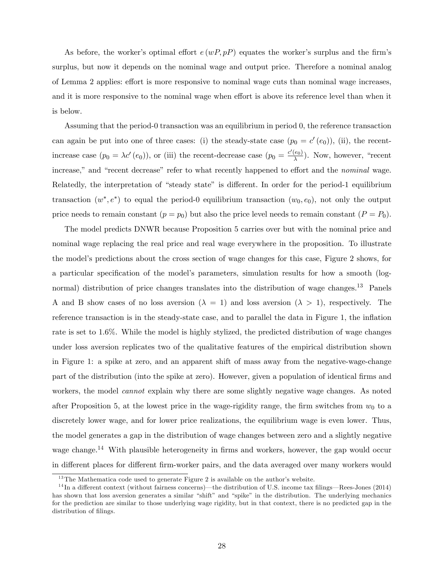As before, the worker's optimal effort  $e(wP, pP)$  equates the worker's surplus and the firm's surplus, but now it depends on the nominal wage and output price. Therefore a nominal analog of Lemma 2 applies: effort is more responsive to nominal wage cuts than nominal wage increases, and it is more responsive to the nominal wage when effort is above its reference level than when it is below.

Assuming that the period-0 transaction was an equilibrium in period 0, the reference transaction can again be put into one of three cases: (i) the steady-state case  $(p_0 = c'(e_0))$ , (ii), the recentincrease case  $(p_0 = \lambda c'(e_0))$ , or (iii) the recent-decrease case  $(p_0 = \frac{c'(e_0)}{\lambda})$  $\frac{e_{0j}}{\lambda}$ ). Now, however, "recent increase," and "recent decrease" refer to what recently happened to effort and the *nominal* wage. Relatedly, the interpretation of "steady state" is different. In order for the period-1 equilibrium transaction  $(w^*, e^*)$  to equal the period-0 equilibrium transaction  $(w_0, e_0)$ , not only the output price needs to remain constant  $(p = p_0)$  but also the price level needs to remain constant  $(P = P_0)$ .

The model predicts DNWR because Proposition 5 carries over but with the nominal price and nominal wage replacing the real price and real wage everywhere in the proposition. To illustrate the modelís predictions about the cross section of wage changes for this case, Figure 2 shows, for a particular specification of the model's parameters, simulation results for how a smooth (lognormal) distribution of price changes translates into the distribution of wage changes.<sup>13</sup> Panels A and B show cases of no loss aversion  $(\lambda = 1)$  and loss aversion  $(\lambda > 1)$ , respectively. The reference transaction is in the steady-state case, and to parallel the data in Figure 1, the inflation rate is set to 1.6%. While the model is highly stylized, the predicted distribution of wage changes under loss aversion replicates two of the qualitative features of the empirical distribution shown in Figure 1: a spike at zero, and an apparent shift of mass away from the negative-wage-change part of the distribution (into the spike at zero). However, given a population of identical Örms and workers, the model *cannot* explain why there are some slightly negative wage changes. As noted after Proposition 5, at the lowest price in the wage-rigidity range, the firm switches from  $w_0$  to a discretely lower wage, and for lower price realizations, the equilibrium wage is even lower. Thus, the model generates a gap in the distribution of wage changes between zero and a slightly negative wage change.<sup>14</sup> With plausible heterogeneity in firms and workers, however, the gap would occur in different places for different firm-worker pairs, and the data averaged over many workers would

 $13$ The Mathematica code used to generate Figure 2 is available on the author's website.

 $14$ In a different context (without fairness concerns)—the distribution of U.S. income tax filings—Rees-Jones (2014) has shown that loss aversion generates a similar "shift" and "spike" in the distribution. The underlying mechanics for the prediction are similar to those underlying wage rigidity, but in that context, there is no predicted gap in the distribution of filings.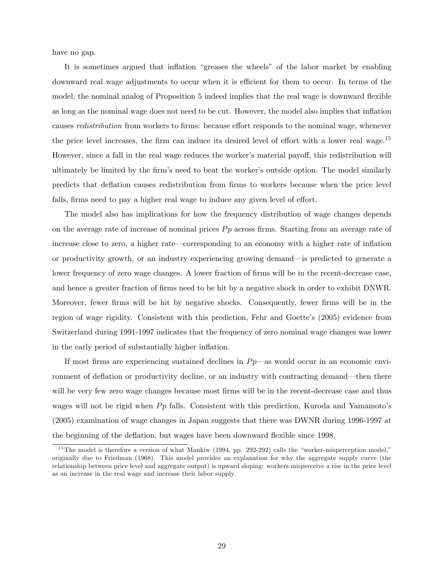have no gap.

It is sometimes argued that inflation "greases the wheels" of the labor market by enabling downward real wage adjustments to occur when it is efficient for them to occur. In terms of the model, the nominal analog of Proposition 5 indeed implies that the real wage is downward flexible as long as the nominal wage does not need to be cut. However, the model also implies that inflation causes *redistribution* from workers to firms: because effort responds to the nominal wage, whenever the price level increases, the firm can induce its desired level of effort with a lower real wage.<sup>15</sup> However, since a fall in the real wage reduces the worker's material payoff, this redistribution will ultimately be limited by the firm's need to beat the worker's outside option. The model similarly predicts that deflation causes redistribution from firms to workers because when the price level falls, firms need to pay a higher real wage to induce any given level of effort.

The model also has implications for how the frequency distribution of wage changes depends on the average rate of increase of nominal prices  $P_p$  across firms. Starting from an average rate of increase close to zero, a higher rate—corresponding to an economy with a higher rate of inflation or productivity growth, or an industry experiencing growing demand—is predicted to generate a lower frequency of zero wage changes. A lower fraction of firms will be in the recent-decrease case, and hence a greater fraction of firms need to be hit by a negative shock in order to exhibit DNWR. Moreover, fewer firms will be hit by negative shocks. Consequently, fewer firms will be in the region of wage rigidity. Consistent with this prediction, Fehr and Goette's (2005) evidence from Switzerland during 1991-1997 indicates that the frequency of zero nominal wage changes was lower in the early period of substantially higher inflation.

If most firms are experiencing sustained declines in  $P_p$ —as would occur in an economic environment of deflation or productivity decline, or an industry with contracting demand—then there will be very few zero wage changes because most firms will be in the recent-decrease case and thus wages will not be rigid when  $P_p$  falls. Consistent with this prediction, Kuroda and Yamamoto's (2005) examination of wage changes in Japan suggests that there was DWNR during 1996-1997 at the beginning of the deflation, but wages have been downward flexible since 1998.

 $15$ The model is therefore a version of what Mankiw (1994, pp. 292-292) calls the "worker-misperception model," originally due to Friedman (1968). This model provides an explanation for why the aggregate supply curve (the relationship between price level and aggregate output) is upward sloping: workers misperceive a rise in the price level as an increase in the real wage and increase their labor supply.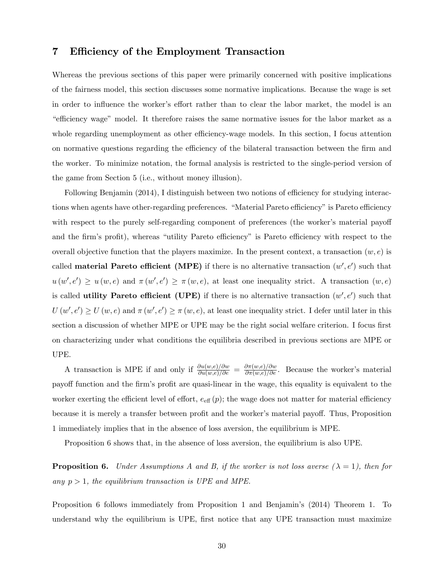## 7 Efficiency of the Employment Transaction

Whereas the previous sections of this paper were primarily concerned with positive implications of the fairness model, this section discusses some normative implications. Because the wage is set in order to influence the worker's effort rather than to clear the labor market, the model is an ìe¢ ciency wageî model. It therefore raises the same normative issues for the labor market as a whole regarding unemployment as other efficiency-wage models. In this section, I focus attention on normative questions regarding the efficiency of the bilateral transaction between the firm and the worker. To minimize notation, the formal analysis is restricted to the single-period version of the game from Section 5 (i.e., without money illusion).

Following Benjamin (2014), I distinguish between two notions of efficiency for studying interactions when agents have other-regarding preferences. "Material Pareto efficiency" is Pareto efficiency with respect to the purely self-regarding component of preferences (the worker's material payoff and the firm's profit), whereas "utility Pareto efficiency" is Pareto efficiency with respect to the overall objective function that the players maximize. In the present context, a transaction  $(w, e)$  is called **material Pareto efficient** (MPE) if there is no alternative transaction  $(w', e')$  such that  $u(w', e') \ge u(w, e)$  and  $\pi(w', e') \ge \pi(w, e)$ , at least one inequality strict. A transaction  $(w, e)$ is called **utility Pareto efficient (UPE)** if there is no alternative transaction  $(w', e')$  such that  $U(w', e') \ge U(w, e)$  and  $\pi(w', e') \ge \pi(w, e)$ , at least one inequality strict. I defer until later in this section a discussion of whether MPE or UPE may be the right social welfare criterion. I focus first on characterizing under what conditions the equilibria described in previous sections are MPE or UPE.

A transaction is MPE if and only if  $\frac{\partial u(w,e)/\partial w}{\partial u(w,e)/\partial e} = \frac{\partial \pi(w,e)/\partial w}{\partial \pi(w,e)/\partial e}$ . Because the worker's material payoff function and the firm's profit are quasi-linear in the wage, this equality is equivalent to the worker exerting the efficient level of effort,  $e_{\text{eff}}(p)$ ; the wage does not matter for material efficiency because it is merely a transfer between profit and the worker's material payoff. Thus, Proposition 1 immediately implies that in the absence of loss aversion, the equilibrium is MPE.

Proposition 6 shows that, in the absence of loss aversion, the equilibrium is also UPE.

**Proposition 6.** Under Assumptions A and B, if the worker is not loss averse  $(\lambda = 1)$ , then for any  $p > 1$ , the equilibrium transaction is UPE and MPE.

Proposition 6 follows immediately from Proposition 1 and Benjamin's (2014) Theorem 1. To understand why the equilibrium is UPE, first notice that any UPE transaction must maximize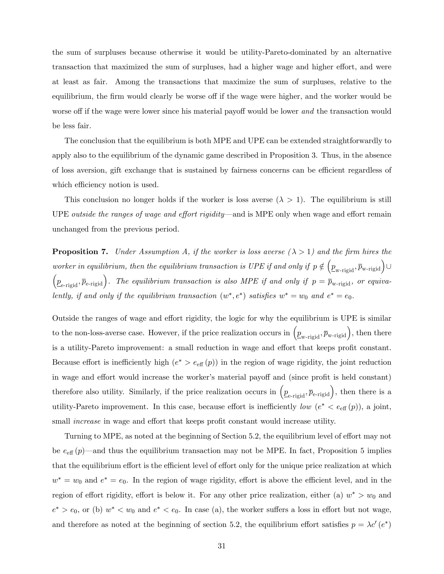the sum of surpluses because otherwise it would be utility-Pareto-dominated by an alternative transaction that maximized the sum of surpluses, had a higher wage and higher effort, and were at least as fair. Among the transactions that maximize the sum of surpluses, relative to the equilibrium, the firm would clearly be worse off if the wage were higher, and the worker would be worse off if the wage were lower since his material payoff would be lower and the transaction would be less fair.

The conclusion that the equilibrium is both MPE and UPE can be extended straightforwardly to apply also to the equilibrium of the dynamic game described in Proposition 3. Thus, in the absence of loss aversion, gift exchange that is sustained by fairness concerns can be efficient regardless of which efficiency notion is used.

This conclusion no longer holds if the worker is loss averse  $(\lambda > 1)$ . The equilibrium is still UPE outside the ranges of wage and effort rigidity—and is MPE only when wage and effort remain unchanged from the previous period.

**Proposition 7.** Under Assumption A, if the worker is loss averse  $(\lambda > 1)$  and the firm hires the worker in equilibrium, then the equilibrium transaction is UPE if and only if  $p \notin \left(\underline{p}_{\text{w-rigid}}, \overline{p}_{\text{w-rigid}}\right) \cup$  $\left(\underline{p}_{\text{e-rigid}}, \overline{p}_{\text{e-rigid}}\right)$ . The equilibrium transaction is also MPE if and only if  $p = \overline{p}_{\text{w-rigid}}$ , or equivalently, if and only if the equilibrium transaction  $(w^*, e^*)$  satisfies  $w^* = w_0$  and  $e^* = e_0$ .

Outside the ranges of wage and effort rigidity, the logic for why the equilibrium is UPE is similar to the non-loss-averse case. However, if the price realization occurs in  $(p_{w\text{-rigid}}, \bar{p}_{w\text{-rigid}})$ , then there is a utility-Pareto improvement: a small reduction in wage and effort that keeps profit constant. Because effort is inefficiently high  $(e^* > e_{\text{eff}}(p))$  in the region of wage rigidity, the joint reduction in wage and effort would increase the worker's material payoff and (since profit is held constant) therefore also utility. Similarly, if the price realization occurs in  $(\underline{p}_{e\text{-rigid}}, \overline{p}_{e\text{-rigid}})$ , then there is a utility-Pareto improvement. In this case, because effort is inefficiently low  $(e^* < e_{\text{eff}}(p))$ , a joint, small *increase* in wage and effort that keeps profit constant would increase utility.

Turning to MPE, as noted at the beginning of Section 5.2, the equilibrium level of effort may not be  $e_{\text{eff}}(p)$ —and thus the equilibrium transaction may not be MPE. In fact, Proposition 5 implies that the equilibrium effort is the efficient level of effort only for the unique price realization at which  $w^* = w_0$  and  $e^* = e_0$ . In the region of wage rigidity, effort is above the efficient level, and in the region of effort rigidity, effort is below it. For any other price realization, either (a)  $w^* > w_0$  and  $e^* > e_0$ , or (b)  $w^* < w_0$  and  $e^* < e_0$ . In case (a), the worker suffers a loss in effort but not wage, and therefore as noted at the beginning of section 5.2, the equilibrium effort satisfies  $p = \lambda c'(e^*)$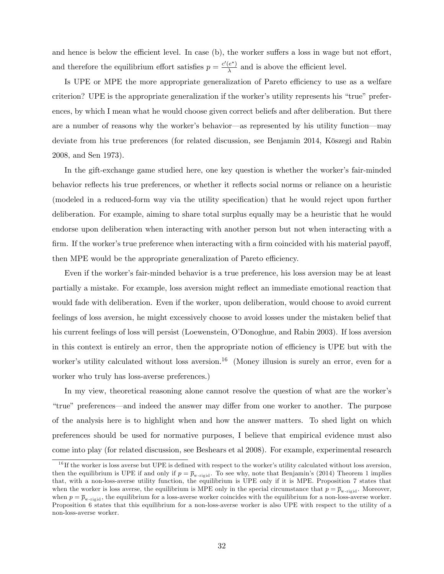and hence is below the efficient level. In case (b), the worker suffers a loss in wage but not effort, and therefore the equilibrium effort satisfies  $p = \frac{c'(e^*)}{\lambda}$  $\frac{e^{i\theta}}{\lambda}$  and is above the efficient level.

Is UPE or MPE the more appropriate generalization of Pareto efficiency to use as a welfare criterion? UPE is the appropriate generalization if the worker's utility represents his "true" preferences, by which I mean what he would choose given correct beliefs and after deliberation. But there are a number of reasons why the worker's behavior—as represented by his utility function—may deviate from his true preferences (for related discussion, see Benjamin 2014, Köszegi and Rabin 2008, and Sen 1973).

In the gift-exchange game studied here, one key question is whether the worker's fair-minded behavior reflects his true preferences, or whether it reflects social norms or reliance on a heuristic (modeled in a reduced-form way via the utility specification) that he would reject upon further deliberation. For example, aiming to share total surplus equally may be a heuristic that he would endorse upon deliberation when interacting with another person but not when interacting with a firm. If the worker's true preference when interacting with a firm coincided with his material payoff, then MPE would be the appropriate generalization of Pareto efficiency.

Even if the worker's fair-minded behavior is a true preference, his loss aversion may be at least partially a mistake. For example, loss aversion might reflect an immediate emotional reaction that would fade with deliberation. Even if the worker, upon deliberation, would choose to avoid current feelings of loss aversion, he might excessively choose to avoid losses under the mistaken belief that his current feelings of loss will persist (Loewenstein, OíDonoghue, and Rabin 2003). If loss aversion in this context is entirely an error, then the appropriate notion of efficiency is UPE but with the worker's utility calculated without loss aversion.<sup>16</sup> (Money illusion is surely an error, even for a worker who truly has loss-averse preferences.)

In my view, theoretical reasoning alone cannot resolve the question of what are the worker's "true" preferences—and indeed the answer may differ from one worker to another. The purpose of the analysis here is to highlight when and how the answer matters. To shed light on which preferences should be used for normative purposes, I believe that empirical evidence must also come into play (for related discussion, see Beshears et al 2008). For example, experimental research

 $16$  If the worker is loss averse but UPE is defined with respect to the worker's utility calculated without loss aversion, then the equilibrium is UPE if and only if  $p = \bar{p}_{w\text{-rigid}}$ . To see why, note that Benjamin's (2014) Theorem 1 implies that, with a non-loss-averse utility function, the equilibrium is UPE only if it is MPE. Proposition 7 states that when the worker is loss averse, the equilibrium is MPE only in the special circumstance that  $p = \overline{p}_{w\text{-rigid}}$ . Moreover, when  $p = \bar{p}_{w\text{-rigid}}$ , the equilibrium for a loss-averse worker coincides with the equilibrium for a non-loss-averse worker. Proposition 6 states that this equilibrium for a non-loss-averse worker is also UPE with respect to the utility of a non-loss-averse worker.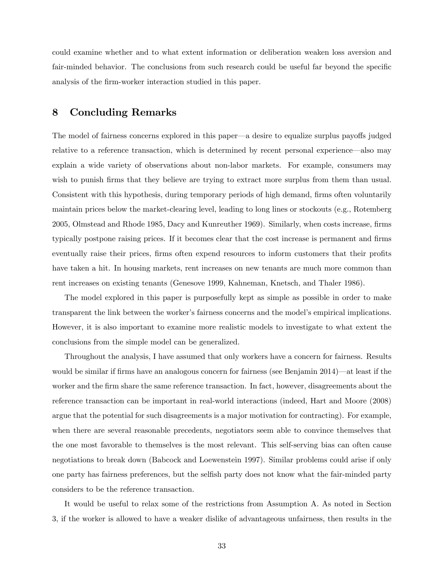could examine whether and to what extent information or deliberation weaken loss aversion and fair-minded behavior. The conclusions from such research could be useful far beyond the specific analysis of the firm-worker interaction studied in this paper.

## 8 Concluding Remarks

The model of fairness concerns explored in this paper—a desire to equalize surplus payoffs judged relative to a reference transaction, which is determined by recent personal experience—also may explain a wide variety of observations about non-labor markets. For example, consumers may wish to punish firms that they believe are trying to extract more surplus from them than usual. Consistent with this hypothesis, during temporary periods of high demand, firms often voluntarily maintain prices below the market-clearing level, leading to long lines or stockouts (e.g., Rotemberg 2005, Olmstead and Rhode 1985, Dacy and Kunreuther 1969). Similarly, when costs increase, firms typically postpone raising prices. If it becomes clear that the cost increase is permanent and firms eventually raise their prices, firms often expend resources to inform customers that their profits have taken a hit. In housing markets, rent increases on new tenants are much more common than rent increases on existing tenants (Genesove 1999, Kahneman, Knetsch, and Thaler 1986).

The model explored in this paper is purposefully kept as simple as possible in order to make transparent the link between the worker's fairness concerns and the model's empirical implications. However, it is also important to examine more realistic models to investigate to what extent the conclusions from the simple model can be generalized.

Throughout the analysis, I have assumed that only workers have a concern for fairness. Results would be similar if firms have an analogous concern for fairness (see Benjamin  $2014$ )—at least if the worker and the firm share the same reference transaction. In fact, however, disagreements about the reference transaction can be important in real-world interactions (indeed, Hart and Moore (2008) argue that the potential for such disagreements is a major motivation for contracting). For example, when there are several reasonable precedents, negotiators seem able to convince themselves that the one most favorable to themselves is the most relevant. This self-serving bias can often cause negotiations to break down (Babcock and Loewenstein 1997). Similar problems could arise if only one party has fairness preferences, but the selfish party does not know what the fair-minded party considers to be the reference transaction.

It would be useful to relax some of the restrictions from Assumption A. As noted in Section 3, if the worker is allowed to have a weaker dislike of advantageous unfairness, then results in the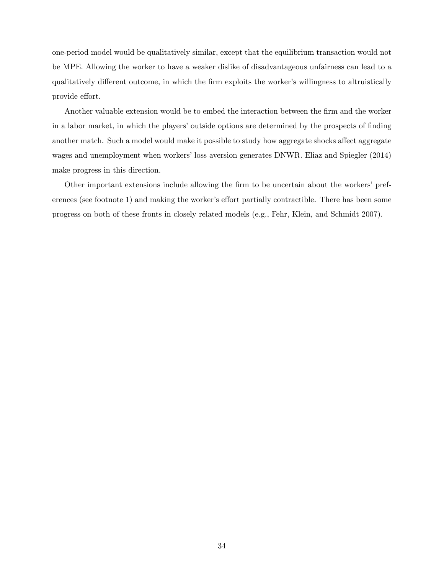one-period model would be qualitatively similar, except that the equilibrium transaction would not be MPE. Allowing the worker to have a weaker dislike of disadvantageous unfairness can lead to a qualitatively different outcome, in which the firm exploits the worker's willingness to altruistically provide effort.

Another valuable extension would be to embed the interaction between the firm and the worker in a labor market, in which the players' outside options are determined by the prospects of finding another match. Such a model would make it possible to study how aggregate shocks affect aggregate wages and unemployment when workers' loss aversion generates DNWR. Eliaz and Spiegler (2014) make progress in this direction.

Other important extensions include allowing the firm to be uncertain about the workers' preferences (see footnote 1) and making the worker's effort partially contractible. There has been some progress on both of these fronts in closely related models (e.g., Fehr, Klein, and Schmidt 2007).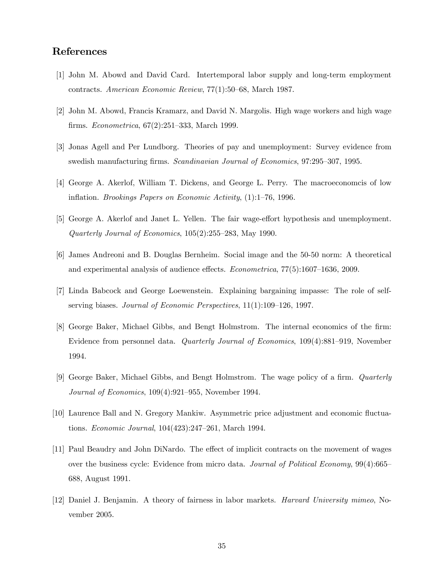## References

- [1] John M. Abowd and David Card. Intertemporal labor supply and long-term employment contracts. American Economic Review,  $77(1):50-68$ , March 1987.
- [2] John M. Abowd, Francis Kramarz, and David N. Margolis. High wage workers and high wage firms. *Econometrica*,  $67(2):251-333$ , March 1999.
- [3] Jonas Agell and Per Lundborg. Theories of pay and unemployment: Survey evidence from swedish manufacturing firms. Scandinavian Journal of Economics, 97:295-307, 1995.
- [4] George A. Akerlof, William T. Dickens, and George L. Perry. The macroeconomcis of low inflation. *Brookings Papers on Economic Activity*,  $(1)$ :1–76, 1996.
- [5] George A. Akerlof and Janet L. Yellen. The fair wage-effort hypothesis and unemployment. Quarterly Journal of Economics,  $105(2):255-283$ , May 1990.
- [6] James Andreoni and B. Douglas Bernheim. Social image and the 50-50 norm: A theoretical and experimental analysis of audience effects. *Econometrica*,  $77(5):1607-1636$ , 2009.
- [7] Linda Babcock and George Loewenstein. Explaining bargaining impasse: The role of selfserving biases. Journal of Economic Perspectives,  $11(1):109-126$ , 1997.
- [8] George Baker, Michael Gibbs, and Bengt Holmstrom. The internal economics of the firm: Evidence from personnel data. *Quarterly Journal of Economics*, 109(4):881–919, November 1994.
- [9] George Baker, Michael Gibbs, and Bengt Holmstrom. The wage policy of a firm. *Quarterly* Journal of Economics,  $109(4):921-955$ , November 1994.
- [10] Laurence Ball and N. Gregory Mankiw. Asymmetric price adjustment and economic fluctuations. *Economic Journal*,  $104(423):247-261$ , March 1994.
- [11] Paul Beaudry and John DiNardo. The effect of implicit contracts on the movement of wages over the business cycle: Evidence from micro data. Journal of Political Economy,  $99(4)$ :665– 688, August 1991.
- [12] Daniel J. Benjamin. A theory of fairness in labor markets. Harvard University mimeo, November 2005.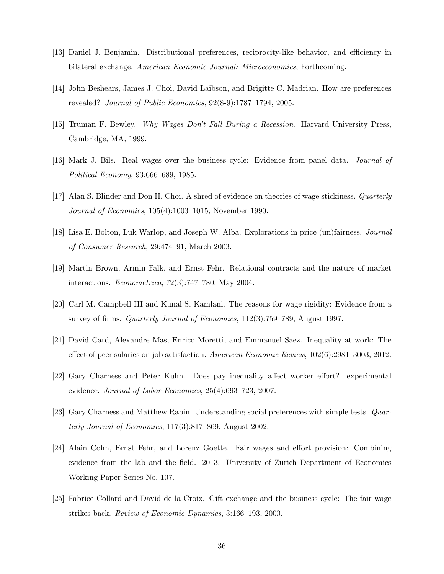- [13] Daniel J. Benjamin. Distributional preferences, reciprocity-like behavior, and efficiency in bilateral exchange. American Economic Journal: Microeconomics, Forthcoming.
- [14] John Beshears, James J. Choi, David Laibson, and Brigitte C. Madrian. How are preferences revealed? Journal of Public Economics,  $92(8-9)$ :1787–1794, 2005.
- [15] Truman F. Bewley. Why Wages Donít Fall During a Recession. Harvard University Press, Cambridge, MA, 1999.
- [16] Mark J. Bils. Real wages over the business cycle: Evidence from panel data. Journal of Political Economy, 93:666-689, 1985.
- [17] Alan S. Blinder and Don H. Choi. A shred of evidence on theories of wage stickiness. Quarterly Journal of Economics,  $105(4):1003-1015$ , November 1990.
- [18] Lisa E. Bolton, Luk Warlop, and Joseph W. Alba. Explorations in price (un)fairness. Journal of Consumer Research,  $29:474-91$ , March 2003.
- [19] Martin Brown, Armin Falk, and Ernst Fehr. Relational contracts and the nature of market interactions.  $Econometrica$ ,  $72(3):747-780$ , May 2004.
- [20] Carl M. Campbell III and Kunal S. Kamlani. The reasons for wage rigidity: Evidence from a survey of firms. *Quarterly Journal of Economics*,  $112(3)$ :759–789, August 1997.
- [21] David Card, Alexandre Mas, Enrico Moretti, and Emmanuel Saez. Inequality at work: The effect of peer salaries on job satisfaction. American Economic Review,  $102(6):2981-3003$ , 2012.
- [22] Gary Charness and Peter Kuhn. Does pay inequality affect worker effort? experimental evidence. Journal of Labor Economics,  $25(4):693-723$ ,  $2007$ .
- [23] Gary Charness and Matthew Rabin. Understanding social preferences with simple tests. Quarterly Journal of Economics,  $117(3):817-869$ , August 2002.
- [24] Alain Cohn, Ernst Fehr, and Lorenz Goette. Fair wages and effort provision: Combining evidence from the lab and the field. 2013. University of Zurich Department of Economics Working Paper Series No. 107.
- [25] Fabrice Collard and David de la Croix. Gift exchange and the business cycle: The fair wage strikes back. Review of Economic Dynamics, 3:166-193, 2000.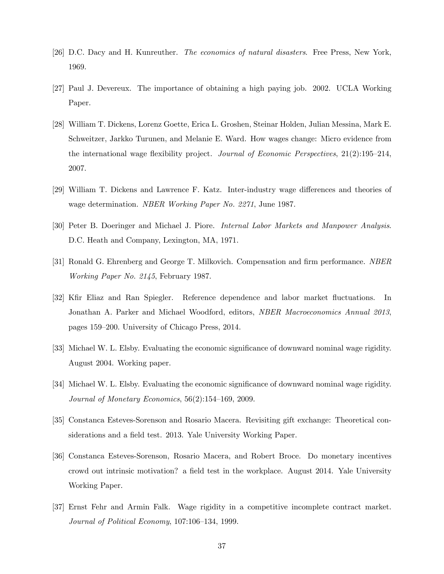- [26] D.C. Dacy and H. Kunreuther. The economics of natural disasters. Free Press, New York, 1969.
- [27] Paul J. Devereux. The importance of obtaining a high paying job. 2002. UCLA Working Paper.
- [28] William T. Dickens, Lorenz Goette, Erica L. Groshen, Steinar Holden, Julian Messina, Mark E. Schweitzer, Jarkko Turunen, and Melanie E. Ward. How wages change: Micro evidence from the international wage flexibility project. Journal of Economic Perspectives,  $21(2):195-214$ , 2007.
- [29] William T. Dickens and Lawrence F. Katz. Inter-industry wage differences and theories of wage determination. NBER Working Paper No. 2271, June 1987.
- [30] Peter B. Doeringer and Michael J. Piore. Internal Labor Markets and Manpower Analysis. D.C. Heath and Company, Lexington, MA, 1971.
- [31] Ronald G. Ehrenberg and George T. Milkovich. Compensation and firm performance. NBER Working Paper No. 2145, February 1987.
- [32] Kfir Eliaz and Ran Spiegler. Reference dependence and labor market fluctuations. In Jonathan A. Parker and Michael Woodford, editors, NBER Macroeconomics Annual 2013, pages 159–200. University of Chicago Press, 2014.
- [33] Michael W. L. Elsby. Evaluating the economic significance of downward nominal wage rigidity. August 2004. Working paper.
- [34] Michael W. L. Elsby. Evaluating the economic significance of downward nominal wage rigidity. Journal of Monetary Economics,  $56(2):154-169$ , 2009.
- [35] Constanca Esteves-Sorenson and Rosario Macera. Revisiting gift exchange: Theoretical considerations and a field test. 2013. Yale University Working Paper.
- [36] Constanca Esteves-Sorenson, Rosario Macera, and Robert Broce. Do monetary incentives crowd out intrinsic motivation? a field test in the workplace. August 2014. Yale University Working Paper.
- [37] Ernst Fehr and Armin Falk. Wage rigidity in a competitive incomplete contract market. Journal of Political Economy,  $107:106-134$ , 1999.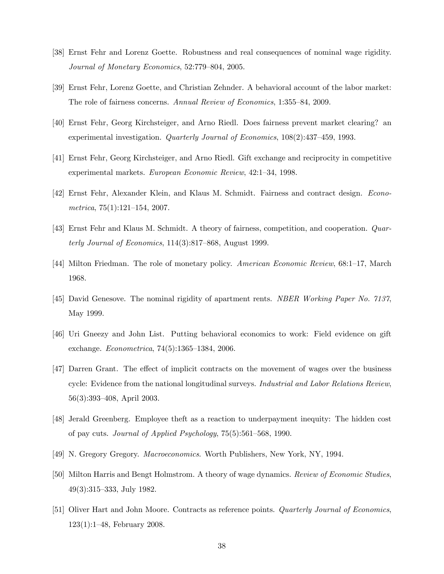- [38] Ernst Fehr and Lorenz Goette. Robustness and real consequences of nominal wage rigidity. Journal of Monetary Economics, 52:779-804, 2005.
- [39] Ernst Fehr, Lorenz Goette, and Christian Zehnder. A behavioral account of the labor market: The role of fairness concerns. Annual Review of Economics, 1:355–84, 2009.
- [40] Ernst Fehr, Georg Kirchsteiger, and Arno Riedl. Does fairness prevent market clearing? an experimental investigation. Quarterly Journal of Economics,  $108(2):437-459$ , 1993.
- [41] Ernst Fehr, Georg Kirchsteiger, and Arno Riedl. Gift exchange and reciprocity in competitive experimental markets. European Economic Review, 42:1–34, 1998.
- [42] Ernst Fehr, Alexander Klein, and Klaus M. Schmidt. Fairness and contract design. Econometrica,  $75(1):121-154$ , 2007.
- [43] Ernst Fehr and Klaus M. Schmidt. A theory of fairness, competition, and cooperation. Quarterly Journal of Economics,  $114(3):817-868$ , August 1999.
- [44] Milton Friedman. The role of monetary policy. American Economic Review, 68:1–17, March 1968.
- [45] David Genesove. The nominal rigidity of apartment rents. NBER Working Paper No. 7137, May 1999.
- [46] Uri Gneezy and John List. Putting behavioral economics to work: Field evidence on gift exchange.  $Econometrica, 74(5):1365-1384, 2006.$
- [47] Darren Grant. The effect of implicit contracts on the movement of wages over the business cycle: Evidence from the national longitudinal surveys. *Industrial and Labor Relations Review*,  $56(3):393-408$ , April 2003.
- [48] Jerald Greenberg. Employee theft as a reaction to underpayment inequity: The hidden cost of pay cuts. Journal of Applied Psychology,  $75(5):561-568$ , 1990.
- [49] N. Gregory Gregory. Macroeconomics. Worth Publishers, New York, NY, 1994.
- [50] Milton Harris and Bengt Holmstrom. A theory of wage dynamics. Review of Economic Studies,  $49(3):315-333$ , July 1982.
- [51] Oliver Hart and John Moore. Contracts as reference points. *Quarterly Journal of Economics*,  $123(1):1-48$ , February 2008.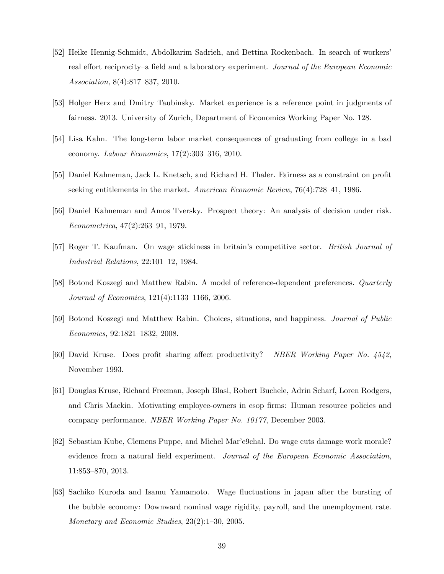- [52] Heike Hennig-Schmidt, Abdolkarim Sadrieh, and Bettina Rockenbach. In search of workersí real effort reciprocity–a field and a laboratory experiment. Journal of the European Economic Association,  $8(4):817-837$ , 2010.
- [53] Holger Herz and Dmitry Taubinsky. Market experience is a reference point in judgments of fairness. 2013. University of Zurich, Department of Economics Working Paper No. 128.
- [54] Lisa Kahn. The long-term labor market consequences of graduating from college in a bad economy. *Labour Economics*,  $17(2):303-316$ , 2010.
- [55] Daniel Kahneman, Jack L. Knetsch, and Richard H. Thaler. Fairness as a constraint on profit seeking entitlements in the market. American Economic Review,  $76(4)$ :728–41, 1986.
- [56] Daniel Kahneman and Amos Tversky. Prospect theory: An analysis of decision under risk.  $Econometrica, 47(2):263-91, 1979.$
- [57] Roger T. Kaufman. On wage stickiness in britain's competitive sector. British Journal of Industrial Relations,  $22:101-12$ , 1984.
- [58] Botond Koszegi and Matthew Rabin. A model of reference-dependent preferences. Quarterly *Journal of Economics*,  $121(4):1133-1166$ ,  $2006$ .
- [59] Botond Koszegi and Matthew Rabin. Choices, situations, and happiness. Journal of Public Economics, 92:1821-1832, 2008.
- [60] David Kruse. Does profit sharing affect productivity? NBER Working Paper No. 4542, November 1993.
- [61] Douglas Kruse, Richard Freeman, Joseph Blasi, Robert Buchele, Adrin Scharf, Loren Rodgers, and Chris Mackin. Motivating employee-owners in esop firms: Human resource policies and company performance. NBER Working Paper No. 10177, December 2003.
- [62] Sebastian Kube, Clemens Puppe, and Michel Maríe9chal. Do wage cuts damage work morale? evidence from a natural field experiment. Journal of the European Economic Association, 11:853-870, 2013.
- [63] Sachiko Kuroda and Isamu Yamamoto. Wage áuctuations in japan after the bursting of the bubble economy: Downward nominal wage rigidity, payroll, and the unemployment rate. Monetary and Economic Studies,  $23(2):1-30$ , 2005.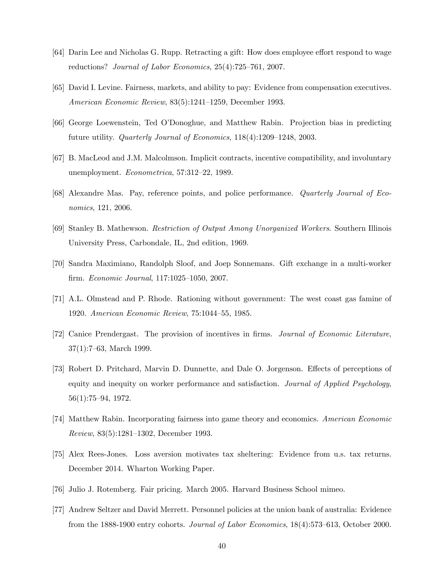- [64] Darin Lee and Nicholas G. Rupp. Retracting a gift: How does employee effort respond to wage reductions? Journal of Labor Economics,  $25(4)$ :725-761, 2007.
- [65] David I. Levine. Fairness, markets, and ability to pay: Evidence from compensation executives. American Economic Review, 83(5):1241–1259, December 1993.
- [66] George Loewenstein, Ted OíDonoghue, and Matthew Rabin. Projection bias in predicting future utility. *Quarterly Journal of Economics*,  $118(4):1209-1248$ , 2003.
- [67] B. MacLeod and J.M. Malcolmson. Implicit contracts, incentive compatibility, and involuntary unemployment.  $Econometrica$ , 57:312-22, 1989.
- [68] Alexandre Mas. Pay, reference points, and police performance. Quarterly Journal of Economics, 121, 2006.
- [69] Stanley B. Mathewson. Restriction of Output Among Unorganized Workers. Southern Illinois University Press, Carbondale, IL, 2nd edition, 1969.
- [70] Sandra Maximiano, Randolph Sloof, and Joep Sonnemans. Gift exchange in a multi-worker firm. Economic Journal,  $117:1025-1050$ ,  $2007$ .
- [71] A.L. Olmstead and P. Rhode. Rationing without government: The west coast gas famine of 1920. American Economic Review, 75:1044-55, 1985.
- [72] Canice Prendergast. The provision of incentives in firms. *Journal of Economic Literature*,  $37(1)$ :7–63, March 1999.
- [73] Robert D. Pritchard, Marvin D. Dunnette, and Dale O. Jorgenson. Effects of perceptions of equity and inequity on worker performance and satisfaction. Journal of Applied Psychology,  $56(1):75-94, 1972.$
- [74] Matthew Rabin. Incorporating fairness into game theory and economics. American Economic Review,  $83(5):1281-1302$ , December 1993.
- [75] Alex Rees-Jones. Loss aversion motivates tax sheltering: Evidence from u.s. tax returns. December 2014. Wharton Working Paper.
- [76] Julio J. Rotemberg. Fair pricing. March 2005. Harvard Business School mimeo.
- [77] Andrew Seltzer and David Merrett. Personnel policies at the union bank of australia: Evidence from the  $1888-1900$  entry cohorts. *Journal of Labor Economics*,  $18(4):573-613$ , October 2000.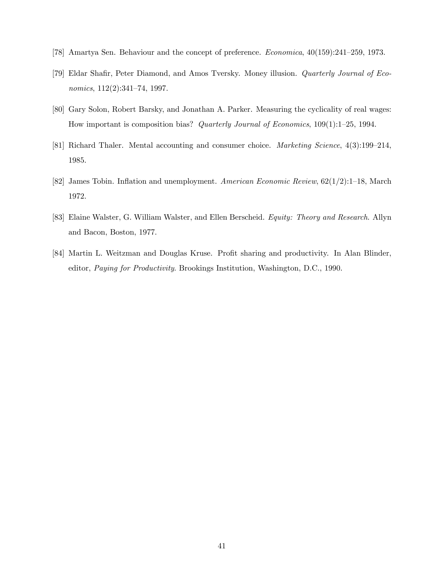- [78] Amartya Sen. Behaviour and the concept of preference.  $Economica, 40(159):241-259, 1973.$
- [79] Eldar Shafir, Peter Diamond, and Amos Tversky. Money illusion. *Quarterly Journal of Eco*nomics,  $112(2):341-74$ , 1997.
- [80] Gary Solon, Robert Barsky, and Jonathan A. Parker. Measuring the cyclicality of real wages: How important is composition bias? Quarterly Journal of Economics,  $109(1):1-25$ , 1994.
- [81] Richard Thaler. Mental accounting and consumer choice. *Marketing Science*,  $4(3):199-214$ , 1985.
- [82] James Tobin. Inflation and unemployment. American Economic Review,  $62(1/2)$ :1–18, March 1972.
- [83] Elaine Walster, G. William Walster, and Ellen Berscheid. Equity: Theory and Research. Allyn and Bacon, Boston, 1977.
- [84] Martin L. Weitzman and Douglas Kruse. Profit sharing and productivity. In Alan Blinder, editor, Paying for Productivity. Brookings Institution, Washington, D.C., 1990.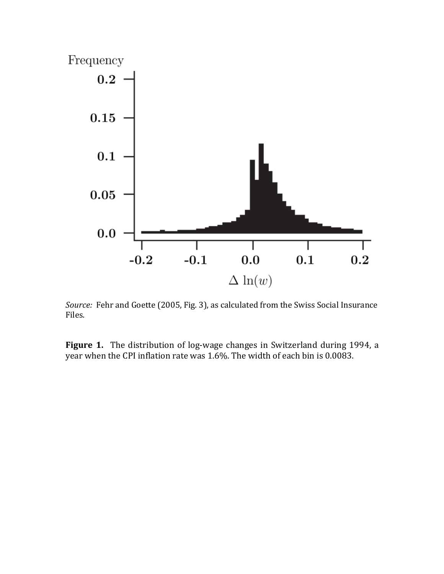

Source: Fehr and Goette (2005, Fig. 3), as calculated from the Swiss Social Insurance Files.

Figure 1. The distribution of log-wage changes in Switzerland during 1994, a year when the CPI inflation rate was 1.6%. The width of each bin is 0.0083.